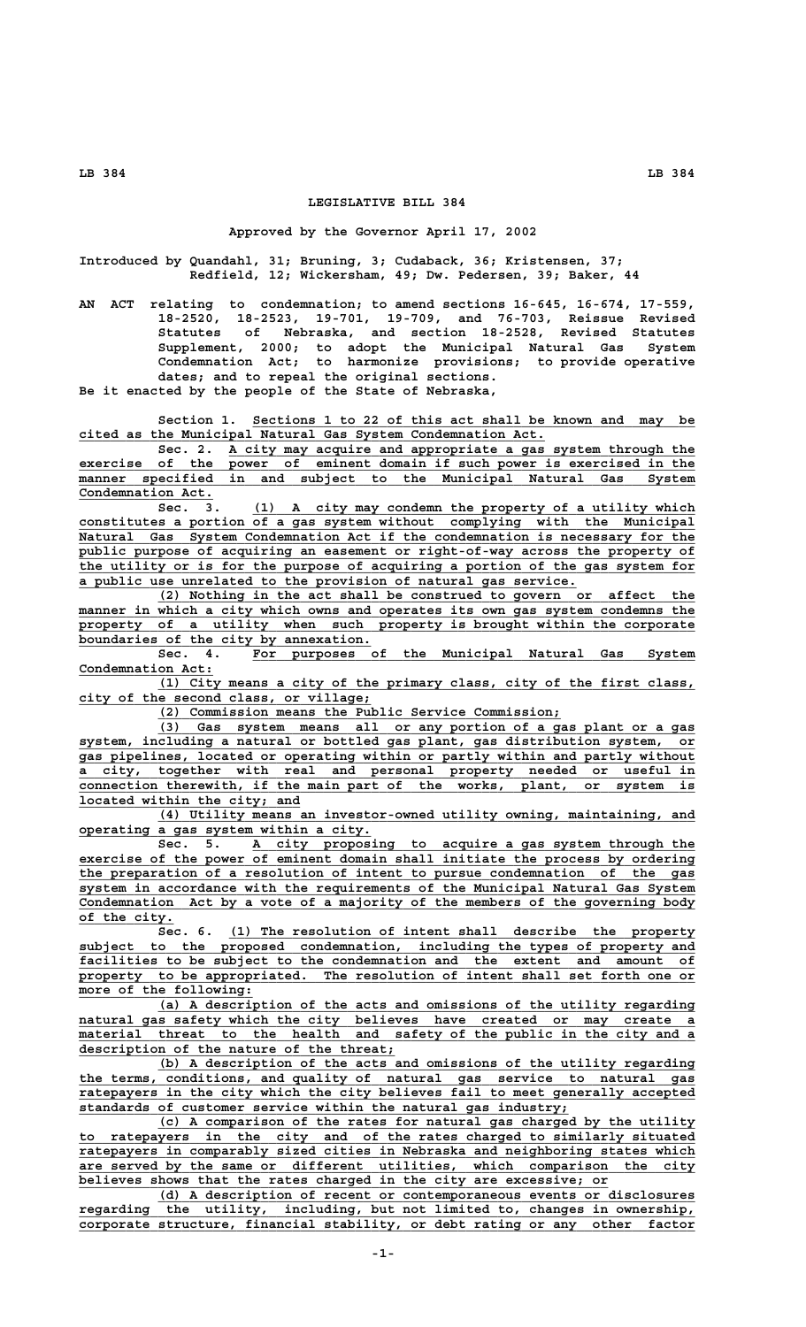## **LEGISLATIVE BILL 384**

## **Approved by the Governor April 17, 2002**

**Introduced by Quandahl, 31; Bruning, 3; Cudaback, 36; Kristensen, 37; Redfield, 12; Wickersham, 49; Dw. Pedersen, 39; Baker, 44**

**AN ACT relating to condemnation; to amend sections 16-645, 16-674, 17-559, 18-2520, 18-2523, 19-701, 19-709, and 76-703, Reissue Revised Statutes of Nebraska, and section 18-2528, Revised Statutes Supplement, 2000; to adopt the Municipal Natural Gas System Condemnation Act; to harmonize provisions; to provide operative dates; and to repeal the original sections. Be it enacted by the people of the State of Nebraska,**

Section 1. Sections 1 to 22 of this act shall be known and may be  **\_\_\_\_\_\_\_\_\_\_\_\_\_\_\_\_\_\_\_\_\_\_\_\_\_\_\_\_\_\_\_\_\_\_\_\_\_\_\_\_\_\_\_\_\_\_\_\_\_\_\_\_\_\_\_\_\_\_\_ cited as the Municipal Natural Gas System Condemnation Act.**

 **\_\_\_\_\_\_\_\_\_\_\_\_\_\_\_\_\_\_\_\_\_\_\_\_\_\_\_\_\_\_\_\_\_\_\_\_\_\_\_\_\_\_\_\_\_\_\_\_\_\_\_\_\_\_\_\_\_\_\_ Sec. 2. A city may acquire and appropriate a gas system through the** exercise of the power of eminent domain if such power is exercised in the  $\overline{\text{ manner}}$  specified in and subject to the Municipal Natural Gas System Condemnation Act.

 **\_\_\_\_\_\_\_\_\_\_\_\_\_\_\_\_\_\_\_\_\_\_\_\_\_\_\_\_\_\_\_\_\_\_\_\_\_\_\_\_\_\_\_\_\_\_\_\_\_\_\_\_\_\_\_\_ Sec. 3. (1) A city may condemn the property of a utility which \_\_\_\_\_\_\_\_\_\_\_\_\_\_\_\_\_\_\_\_\_\_\_\_\_\_\_\_\_\_\_\_\_\_\_\_\_\_\_\_\_\_\_\_\_\_\_\_\_\_\_\_\_\_\_\_\_\_\_\_\_\_\_\_\_\_\_\_\_\_\_\_\_\_\_\_\_\_ constitutes a portion of a gas system without complying with the Municipal \_\_\_\_\_\_\_\_\_\_\_\_\_\_\_\_\_\_\_\_\_\_\_\_\_\_\_\_\_\_\_\_\_\_\_\_\_\_\_\_\_\_\_\_\_\_\_\_\_\_\_\_\_\_\_\_\_\_\_\_\_\_\_\_\_\_\_\_\_\_\_\_\_\_\_\_\_\_ Natural Gas System Condemnation Act if the condemnation is necessary for the** public purpose of acquiring an easement or right-of-way across the property of  **\_\_\_\_\_\_\_\_\_\_\_\_\_\_\_\_\_\_\_\_\_\_\_\_\_\_\_\_\_\_\_\_\_\_\_\_\_\_\_\_\_\_\_\_\_\_\_\_\_\_\_\_\_\_\_\_\_\_\_\_\_\_\_\_\_\_\_\_\_\_\_\_\_\_\_\_\_\_ the utility or is for the purpose of acquiring a portion of the gas system for \_\_\_\_\_\_\_\_\_\_\_\_\_\_\_\_\_\_\_\_\_\_\_\_\_\_\_\_\_\_\_\_\_\_\_\_\_\_\_\_\_\_\_\_\_\_\_\_\_\_\_\_\_\_\_\_\_\_\_\_\_\_\_ a public use unrelated to the provision of natural gas service.**

> **\_\_\_\_\_\_\_\_\_\_\_\_\_\_\_\_\_\_\_\_\_\_\_\_\_\_\_\_\_\_\_\_\_\_\_\_\_\_\_\_\_\_\_\_\_\_\_\_\_\_\_\_\_\_\_\_\_\_\_\_\_\_\_\_\_\_\_\_ (2) Nothing in the act shall be construed to govern or affect the** manner in which a city which owns and operates its own gas system condemns the property of a utility when such property is brought within the corporate boundaries of the city by annexation.

> **\_\_\_\_\_\_\_\_\_\_\_\_\_\_\_\_\_\_\_\_\_\_\_\_\_\_\_\_\_\_\_\_\_\_\_\_\_\_\_\_\_\_\_\_\_\_\_\_\_\_\_\_\_\_\_\_ Sec. 4. For purposes of the Municipal Natural Gas System** Condemnation Act:

> **\_\_\_\_\_\_\_\_\_\_\_\_\_\_\_\_\_\_\_\_\_\_\_\_\_\_\_\_\_\_\_\_\_\_\_\_\_\_\_\_\_\_\_\_\_\_\_\_\_\_\_\_\_\_\_\_\_\_\_\_\_\_\_\_\_\_\_\_ (1) City means a city of the primary class, city of the first class, \_\_\_\_\_\_\_\_\_\_\_\_\_\_\_\_\_\_\_\_\_\_\_\_\_\_\_\_\_\_\_\_\_\_\_\_\_ city of the second class, or village;**

 **\_\_\_\_\_\_\_\_\_\_\_\_\_\_\_\_\_\_\_\_\_\_\_\_\_\_\_\_\_\_\_\_\_\_\_\_\_\_\_\_\_\_\_\_\_\_\_\_\_\_\_ (2) Commission means the Public Service Commission;**

 **\_\_\_\_\_\_\_\_\_\_\_\_\_\_\_\_\_\_\_\_\_\_\_\_\_\_\_\_\_\_\_\_\_\_\_\_\_\_\_\_\_\_\_\_\_\_\_\_\_\_\_\_\_\_\_\_\_\_\_\_\_\_\_\_\_\_\_\_ (3) Gas system means all or any portion of a gas plant or a gas \_\_\_\_\_\_\_\_\_\_\_\_\_\_\_\_\_\_\_\_\_\_\_\_\_\_\_\_\_\_\_\_\_\_\_\_\_\_\_\_\_\_\_\_\_\_\_\_\_\_\_\_\_\_\_\_\_\_\_\_\_\_\_\_\_\_\_\_\_\_\_\_\_\_\_\_\_\_ system, including a natural or bottled gas plant, gas distribution system, or \_\_\_\_\_\_\_\_\_\_\_\_\_\_\_\_\_\_\_\_\_\_\_\_\_\_\_\_\_\_\_\_\_\_\_\_\_\_\_\_\_\_\_\_\_\_\_\_\_\_\_\_\_\_\_\_\_\_\_\_\_\_\_\_\_\_\_\_\_\_\_\_\_\_\_\_\_\_ gas pipelines, located or operating within or partly within and partly without \_\_\_\_\_\_\_\_\_\_\_\_\_\_\_\_\_\_\_\_\_\_\_\_\_\_\_\_\_\_\_\_\_\_\_\_\_\_\_\_\_\_\_\_\_\_\_\_\_\_\_\_\_\_\_\_\_\_\_\_\_\_\_\_\_\_\_\_\_\_\_\_\_\_\_\_\_\_ a city, together with real and personal property needed or useful in \_\_\_\_\_\_\_\_\_\_\_\_\_\_\_\_\_\_\_\_\_\_\_\_\_\_\_\_\_\_\_\_\_\_\_\_\_\_\_\_\_\_\_\_\_\_\_\_\_\_\_\_\_\_\_\_\_\_\_\_\_\_\_\_\_\_\_\_\_\_\_\_\_\_\_\_\_\_ connection therewith, if the main part of the works, plant, or system is \_\_\_\_\_\_\_\_\_\_\_\_\_\_\_\_\_\_\_\_\_\_\_\_\_\_\_\_ located within the city; and**

 **\_\_\_\_\_\_\_\_\_\_\_\_\_\_\_\_\_\_\_\_\_\_\_\_\_\_\_\_\_\_\_\_\_\_\_\_\_\_\_\_\_\_\_\_\_\_\_\_\_\_\_\_\_\_\_\_\_\_\_\_\_\_\_\_\_\_\_\_ (4) Utility means an investor-owned utility owning, maintaining, and \_\_\_\_\_\_\_\_\_\_\_\_\_\_\_\_\_\_\_\_\_\_\_\_\_\_\_\_\_\_\_\_\_\_\_\_\_ operating a gas system within a city.**

 **\_\_\_\_\_\_\_\_\_\_\_\_\_\_\_\_\_\_\_\_\_\_\_\_\_\_\_\_\_\_\_\_\_\_\_\_\_\_\_\_\_\_\_\_\_\_\_\_\_\_\_\_\_\_\_\_ Sec. 5. A city proposing to acquire a gas system through the \_\_\_\_\_\_\_\_\_\_\_\_\_\_\_\_\_\_\_\_\_\_\_\_\_\_\_\_\_\_\_\_\_\_\_\_\_\_\_\_\_\_\_\_\_\_\_\_\_\_\_\_\_\_\_\_\_\_\_\_\_\_\_\_\_\_\_\_\_\_\_\_\_\_\_\_\_\_ exercise of the power of eminent domain shall initiate the process by ordering \_\_\_\_\_\_\_\_\_\_\_\_\_\_\_\_\_\_\_\_\_\_\_\_\_\_\_\_\_\_\_\_\_\_\_\_\_\_\_\_\_\_\_\_\_\_\_\_\_\_\_\_\_\_\_\_\_\_\_\_\_\_\_\_\_\_\_\_\_\_\_\_\_\_\_\_\_\_ the preparation of a resolution of intent to pursue condemnation of the gas**  $s$ ystem in accordance with the requirements of the Municipal Natural Gas System  **\_\_\_\_\_\_\_\_\_\_\_\_\_\_\_\_\_\_\_\_\_\_\_\_\_\_\_\_\_\_\_\_\_\_\_\_\_\_\_\_\_\_\_\_\_\_\_\_\_\_\_\_\_\_\_\_\_\_\_\_\_\_\_\_\_\_\_\_\_\_\_\_\_\_\_\_\_\_ Condemnation Act by a vote of a majority of the members of the governing body \_\_\_\_\_\_\_\_\_\_\_\_ of the city.**

Sec. 6. (1) The resolution of intent shall describe the property  **\_\_\_\_\_\_\_\_\_\_\_\_\_\_\_\_\_\_\_\_\_\_\_\_\_\_\_\_\_\_\_\_\_\_\_\_\_\_\_\_\_\_\_\_\_\_\_\_\_\_\_\_\_\_\_\_\_\_\_\_\_\_\_\_\_\_\_\_\_\_\_\_\_\_\_\_\_\_ subject to the proposed condemnation, including the types of property and \_\_\_\_\_\_\_\_\_\_\_\_\_\_\_\_\_\_\_\_\_\_\_\_\_\_\_\_\_\_\_\_\_\_\_\_\_\_\_\_\_\_\_\_\_\_\_\_\_\_\_\_\_\_\_\_\_\_\_\_\_\_\_\_\_\_\_\_\_\_\_\_\_\_\_\_\_\_ facilities to be subject to the condemnation and the extent and amount of** property to be appropriated. The resolution of intent shall set forth one or  **\_\_\_\_\_\_\_\_\_\_\_\_\_\_\_\_\_\_\_\_\_\_ more of the following:**

 **\_\_\_\_\_\_\_\_\_\_\_\_\_\_\_\_\_\_\_\_\_\_\_\_\_\_\_\_\_\_\_\_\_\_\_\_\_\_\_\_\_\_\_\_\_\_\_\_\_\_\_\_\_\_\_\_\_\_\_\_\_\_\_\_\_\_\_\_ (a) A description of the acts and omissions of the utility regarding \_\_\_\_\_\_\_\_\_\_\_\_\_\_\_\_\_\_\_\_\_\_\_\_\_\_\_\_\_\_\_\_\_\_\_\_\_\_\_\_\_\_\_\_\_\_\_\_\_\_\_\_\_\_\_\_\_\_\_\_\_\_\_\_\_\_\_\_\_\_\_\_\_\_\_\_\_\_ natural gas safety which the city believes have created or may create a \_\_\_\_\_\_\_\_\_\_\_\_\_\_\_\_\_\_\_\_\_\_\_\_\_\_\_\_\_\_\_\_\_\_\_\_\_\_\_\_\_\_\_\_\_\_\_\_\_\_\_\_\_\_\_\_\_\_\_\_\_\_\_\_\_\_\_\_\_\_\_\_\_\_\_\_\_\_ material threat to the health and safety of the public in the city and a \_\_\_\_\_\_\_\_\_\_\_\_\_\_\_\_\_\_\_\_\_\_\_\_\_\_\_\_\_\_\_\_\_\_\_\_\_\_\_\_ description of the nature of the threat;**

 **\_\_\_\_\_\_\_\_\_\_\_\_\_\_\_\_\_\_\_\_\_\_\_\_\_\_\_\_\_\_\_\_\_\_\_\_\_\_\_\_\_\_\_\_\_\_\_\_\_\_\_\_\_\_\_\_\_\_\_\_\_\_\_\_\_\_\_\_ (b) A description of the acts and omissions of the utility regarding \_\_\_\_\_\_\_\_\_\_\_\_\_\_\_\_\_\_\_\_\_\_\_\_\_\_\_\_\_\_\_\_\_\_\_\_\_\_\_\_\_\_\_\_\_\_\_\_\_\_\_\_\_\_\_\_\_\_\_\_\_\_\_\_\_\_\_\_\_\_\_\_\_\_\_\_\_\_ the terms, conditions, and quality of natural gas service to natural gas** ratepayers in the city which the city believes fail to meet generally accepted  **\_\_\_\_\_\_\_\_\_\_\_\_\_\_\_\_\_\_\_\_\_\_\_\_\_\_\_\_\_\_\_\_\_\_\_\_\_\_\_\_\_\_\_\_\_\_\_\_\_\_\_\_\_\_\_\_\_\_\_\_\_\_ standards of customer service within the natural gas industry;**

 **\_\_\_\_\_\_\_\_\_\_\_\_\_\_\_\_\_\_\_\_\_\_\_\_\_\_\_\_\_\_\_\_\_\_\_\_\_\_\_\_\_\_\_\_\_\_\_\_\_\_\_\_\_\_\_\_\_\_\_\_\_\_\_\_\_\_\_\_ (c) A comparison of the rates for natural gas charged by the utility \_\_\_\_\_\_\_\_\_\_\_\_\_\_\_\_\_\_\_\_\_\_\_\_\_\_\_\_\_\_\_\_\_\_\_\_\_\_\_\_\_\_\_\_\_\_\_\_\_\_\_\_\_\_\_\_\_\_\_\_\_\_\_\_\_\_\_\_\_\_\_\_\_\_\_\_\_\_ to ratepayers in the city and of the rates charged to similarly situated \_\_\_\_\_\_\_\_\_\_\_\_\_\_\_\_\_\_\_\_\_\_\_\_\_\_\_\_\_\_\_\_\_\_\_\_\_\_\_\_\_\_\_\_\_\_\_\_\_\_\_\_\_\_\_\_\_\_\_\_\_\_\_\_\_\_\_\_\_\_\_\_\_\_\_\_\_\_ ratepayers in comparably sized cities in Nebraska and neighboring states which \_\_\_\_\_\_\_\_\_\_\_\_\_\_\_\_\_\_\_\_\_\_\_\_\_\_\_\_\_\_\_\_\_\_\_\_\_\_\_\_\_\_\_\_\_\_\_\_\_\_\_\_\_\_\_\_\_\_\_\_\_\_\_\_\_\_\_\_\_\_\_\_\_\_\_\_\_\_ are served by the same or different utilities, which comparison the city \_\_\_\_\_\_\_\_\_\_\_\_\_\_\_\_\_\_\_\_\_\_\_\_\_\_\_\_\_\_\_\_\_\_\_\_\_\_\_\_\_\_\_\_\_\_\_\_\_\_\_\_\_\_\_\_\_\_\_\_\_\_\_\_\_\_\_ believes shows that the rates charged in the city are excessive; or**

 **\_\_\_\_\_\_\_\_\_\_\_\_\_\_\_\_\_\_\_\_\_\_\_\_\_\_\_\_\_\_\_\_\_\_\_\_\_\_\_\_\_\_\_\_\_\_\_\_\_\_\_\_\_\_\_\_\_\_\_\_\_\_\_\_\_\_\_\_ (d) A description of recent or contemporaneous events or disclosures \_\_\_\_\_\_\_\_\_\_\_\_\_\_\_\_\_\_\_\_\_\_\_\_\_\_\_\_\_\_\_\_\_\_\_\_\_\_\_\_\_\_\_\_\_\_\_\_\_\_\_\_\_\_\_\_\_\_\_\_\_\_\_\_\_\_\_\_\_\_\_\_\_\_\_\_\_\_ regarding the utility, including, but not limited to, changes in ownership, \_\_\_\_\_\_\_\_\_\_\_\_\_\_\_\_\_\_\_\_\_\_\_\_\_\_\_\_\_\_\_\_\_\_\_\_\_\_\_\_\_\_\_\_\_\_\_\_\_\_\_\_\_\_\_\_\_\_\_\_\_\_\_\_\_\_\_\_\_\_\_\_\_\_\_\_\_\_ corporate structure, financial stability, or debt rating or any other factor**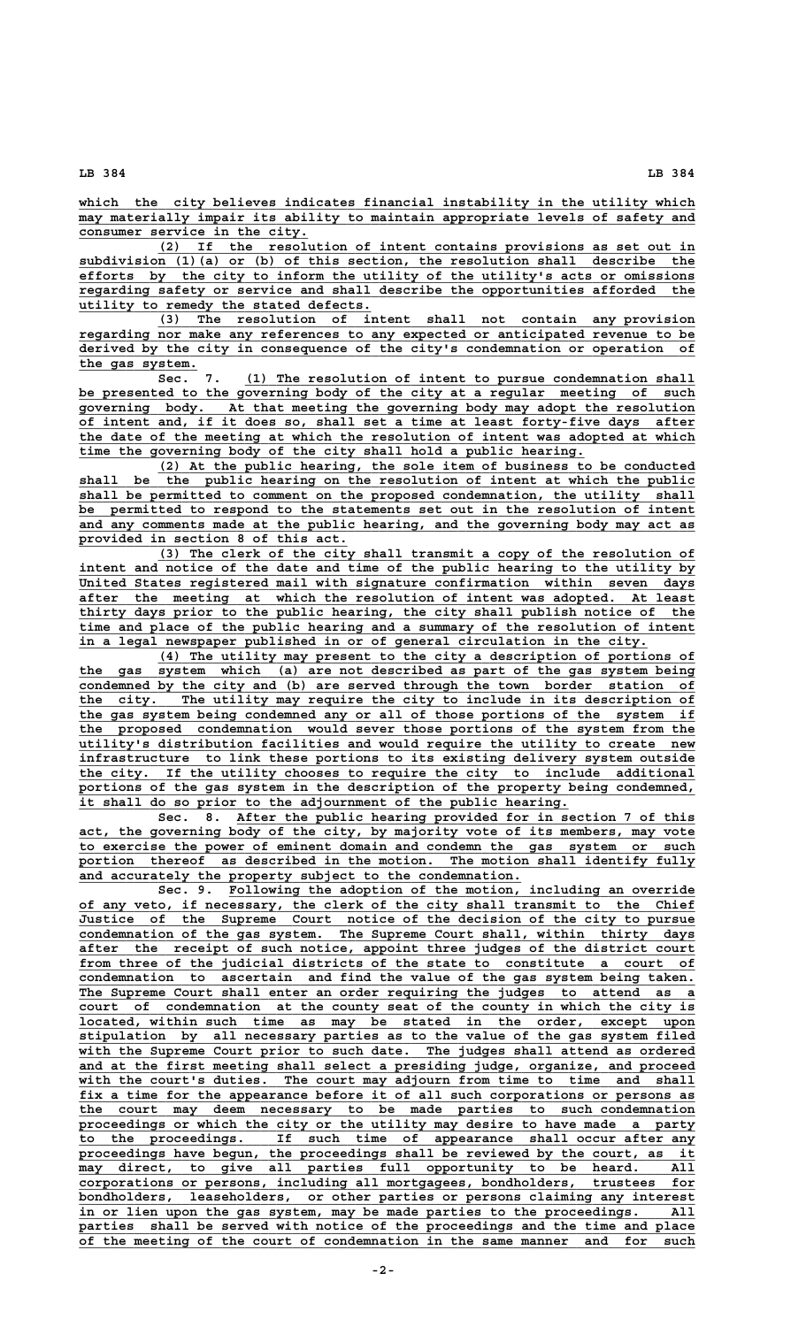**\_\_\_\_\_\_\_\_\_\_\_\_\_\_\_\_\_\_\_\_\_\_\_\_\_\_\_\_\_\_\_\_\_\_\_\_\_\_\_\_\_\_\_\_\_\_\_\_\_\_\_\_\_\_\_\_\_\_\_\_\_\_\_\_\_\_\_\_\_\_\_\_\_\_\_\_\_\_ which the city believes indicates financial instability in the utility which**  $\overline{\text{may materially impair its ability to maintain appropriate levels of safety and}$  **\_\_\_\_\_\_\_\_\_\_\_\_\_\_\_\_\_\_\_\_\_\_\_\_\_\_\_\_\_ consumer service in the city.**

 **\_\_\_\_\_\_\_\_\_\_\_\_\_\_\_\_\_\_\_\_\_\_\_\_\_\_\_\_\_\_\_\_\_\_\_\_\_\_\_\_\_\_\_\_\_\_\_\_\_\_\_\_\_\_\_\_\_\_\_\_\_\_\_\_\_\_\_\_ (2) If the resolution of intent contains provisions as set out in \_\_\_\_\_\_\_\_\_\_\_\_\_\_\_\_\_\_\_\_\_\_\_\_\_\_\_\_\_\_\_\_\_\_\_\_\_\_\_\_\_\_\_\_\_\_\_\_\_\_\_\_\_\_\_\_\_\_\_\_\_\_\_\_\_\_\_\_\_\_\_\_\_\_\_\_\_\_ subdivision (1)(a) or (b) of this section, the resolution shall describe the \_\_\_\_\_\_\_\_\_\_\_\_\_\_\_\_\_\_\_\_\_\_\_\_\_\_\_\_\_\_\_\_\_\_\_\_\_\_\_\_\_\_\_\_\_\_\_\_\_\_\_\_\_\_\_\_\_\_\_\_\_\_\_\_\_\_\_\_\_\_\_\_\_\_\_\_\_\_ efforts by the city to inform the utility of the utility's acts or omissions \_\_\_\_\_\_\_\_\_\_\_\_\_\_\_\_\_\_\_\_\_\_\_\_\_\_\_\_\_\_\_\_\_\_\_\_\_\_\_\_\_\_\_\_\_\_\_\_\_\_\_\_\_\_\_\_\_\_\_\_\_\_\_\_\_\_\_\_\_\_\_\_\_\_\_\_\_\_ regarding safety or service and shall describe the opportunities afforded the \_\_\_\_\_\_\_\_\_\_\_\_\_\_\_\_\_\_\_\_\_\_\_\_\_\_\_\_\_\_\_\_\_\_\_\_\_ utility to remedy the stated defects.**

 **\_\_\_\_\_\_\_\_\_\_\_\_\_\_\_\_\_\_\_\_\_\_\_\_\_\_\_\_\_\_\_\_\_\_\_\_\_\_\_\_\_\_\_\_\_\_\_\_\_\_\_\_\_\_\_\_\_\_\_\_\_\_\_\_\_\_\_\_ (3) The resolution of intent shall not contain any provision \_\_\_\_\_\_\_\_\_\_\_\_\_\_\_\_\_\_\_\_\_\_\_\_\_\_\_\_\_\_\_\_\_\_\_\_\_\_\_\_\_\_\_\_\_\_\_\_\_\_\_\_\_\_\_\_\_\_\_\_\_\_\_\_\_\_\_\_\_\_\_\_\_\_\_\_\_\_ regarding nor make any references to any expected or anticipated revenue to be \_\_\_\_\_\_\_\_\_\_\_\_\_\_\_\_\_\_\_\_\_\_\_\_\_\_\_\_\_\_\_\_\_\_\_\_\_\_\_\_\_\_\_\_\_\_\_\_\_\_\_\_\_\_\_\_\_\_\_\_\_\_\_\_\_\_\_\_\_\_\_\_\_\_\_\_\_\_ derived by the city in consequence of the city's condemnation or operation of \_\_\_\_\_\_\_\_\_\_\_\_\_\_\_ the gas system.**

 **Sec.** 7. (1) The resolution of intent to pursue condemnation shall  **\_\_\_\_\_\_\_\_\_\_\_\_\_\_\_\_\_\_\_\_\_\_\_\_\_\_\_\_\_\_\_\_\_\_\_\_\_\_\_\_\_\_\_\_\_\_\_\_\_\_\_\_\_\_\_\_\_\_\_\_\_\_\_\_\_\_\_\_\_\_\_\_\_\_\_\_\_\_ be presented to the governing body of the city at a regular meeting of such** governing body. At that meeting the governing body may adopt the resolution  **\_\_\_\_\_\_\_\_\_\_\_\_\_\_\_\_\_\_\_\_\_\_\_\_\_\_\_\_\_\_\_\_\_\_\_\_\_\_\_\_\_\_\_\_\_\_\_\_\_\_\_\_\_\_\_\_\_\_\_\_\_\_\_\_\_\_\_\_\_\_\_\_\_\_\_\_\_\_ of intent and, if it does so, shall set a time at least forty-five days after \_\_\_\_\_\_\_\_\_\_\_\_\_\_\_\_\_\_\_\_\_\_\_\_\_\_\_\_\_\_\_\_\_\_\_\_\_\_\_\_\_\_\_\_\_\_\_\_\_\_\_\_\_\_\_\_\_\_\_\_\_\_\_\_\_\_\_\_\_\_\_\_\_\_\_\_\_\_ the date of the meeting at which the resolution of intent was adopted at which \_\_\_\_\_\_\_\_\_\_\_\_\_\_\_\_\_\_\_\_\_\_\_\_\_\_\_\_\_\_\_\_\_\_\_\_\_\_\_\_\_\_\_\_\_\_\_\_\_\_\_\_\_\_\_\_\_\_\_\_\_\_\_\_ time the governing body of the city shall hold a public hearing.**

 **\_\_\_\_\_\_\_\_\_\_\_\_\_\_\_\_\_\_\_\_\_\_\_\_\_\_\_\_\_\_\_\_\_\_\_\_\_\_\_\_\_\_\_\_\_\_\_\_\_\_\_\_\_\_\_\_\_\_\_\_\_\_\_\_\_\_\_\_ (2) At the public hearing, the sole item of business to be conducted \_\_\_\_\_\_\_\_\_\_\_\_\_\_\_\_\_\_\_\_\_\_\_\_\_\_\_\_\_\_\_\_\_\_\_\_\_\_\_\_\_\_\_\_\_\_\_\_\_\_\_\_\_\_\_\_\_\_\_\_\_\_\_\_\_\_\_\_\_\_\_\_\_\_\_\_\_\_ shall be the public hearing on the resolution of intent at which the public \_\_\_\_\_\_\_\_\_\_\_\_\_\_\_\_\_\_\_\_\_\_\_\_\_\_\_\_\_\_\_\_\_\_\_\_\_\_\_\_\_\_\_\_\_\_\_\_\_\_\_\_\_\_\_\_\_\_\_\_\_\_\_\_\_\_\_\_\_\_\_\_\_\_\_\_\_\_ shall be permitted to comment on the proposed condemnation, the utility shall \_\_\_\_\_\_\_\_\_\_\_\_\_\_\_\_\_\_\_\_\_\_\_\_\_\_\_\_\_\_\_\_\_\_\_\_\_\_\_\_\_\_\_\_\_\_\_\_\_\_\_\_\_\_\_\_\_\_\_\_\_\_\_\_\_\_\_\_\_\_\_\_\_\_\_\_\_\_ be permitted to respond to the statements set out in the resolution of intent \_\_\_\_\_\_\_\_\_\_\_\_\_\_\_\_\_\_\_\_\_\_\_\_\_\_\_\_\_\_\_\_\_\_\_\_\_\_\_\_\_\_\_\_\_\_\_\_\_\_\_\_\_\_\_\_\_\_\_\_\_\_\_\_\_\_\_\_\_\_\_\_\_\_\_\_\_\_ and any comments made at the public hearing, and the governing body may act as \_\_\_\_\_\_\_\_\_\_\_\_\_\_\_\_\_\_\_\_\_\_\_\_\_\_\_\_\_\_\_\_\_\_ provided in section 8 of this act.**

 **\_\_\_\_\_\_\_\_\_\_\_\_\_\_\_\_\_\_\_\_\_\_\_\_\_\_\_\_\_\_\_\_\_\_\_\_\_\_\_\_\_\_\_\_\_\_\_\_\_\_\_\_\_\_\_\_\_\_\_\_\_\_\_\_\_\_\_\_ (3) The clerk of the city shall transmit a copy of the resolution of** intent and notice of the date and time of the public hearing to the utility by  **\_\_\_\_\_\_\_\_\_\_\_\_\_\_\_\_\_\_\_\_\_\_\_\_\_\_\_\_\_\_\_\_\_\_\_\_\_\_\_\_\_\_\_\_\_\_\_\_\_\_\_\_\_\_\_\_\_\_\_\_\_\_\_\_\_\_\_\_\_\_\_\_\_\_\_\_\_\_ United States registered mail with signature confirmation within seven days \_\_\_\_\_\_\_\_\_\_\_\_\_\_\_\_\_\_\_\_\_\_\_\_\_\_\_\_\_\_\_\_\_\_\_\_\_\_\_\_\_\_\_\_\_\_\_\_\_\_\_\_\_\_\_\_\_\_\_\_\_\_\_\_\_\_\_\_\_\_\_\_\_\_\_\_\_\_ after the meeting at which the resolution of intent was adopted. At least \_\_\_\_\_\_\_\_\_\_\_\_\_\_\_\_\_\_\_\_\_\_\_\_\_\_\_\_\_\_\_\_\_\_\_\_\_\_\_\_\_\_\_\_\_\_\_\_\_\_\_\_\_\_\_\_\_\_\_\_\_\_\_\_\_\_\_\_\_\_\_\_\_\_\_\_\_\_ thirty days prior to the public hearing, the city shall publish notice of the \_\_\_\_\_\_\_\_\_\_\_\_\_\_\_\_\_\_\_\_\_\_\_\_\_\_\_\_\_\_\_\_\_\_\_\_\_\_\_\_\_\_\_\_\_\_\_\_\_\_\_\_\_\_\_\_\_\_\_\_\_\_\_\_\_\_\_\_\_\_\_\_\_\_\_\_\_\_ time and place of the public hearing and a summary of the resolution of intent \_\_\_\_\_\_\_\_\_\_\_\_\_\_\_\_\_\_\_\_\_\_\_\_\_\_\_\_\_\_\_\_\_\_\_\_\_\_\_\_\_\_\_\_\_\_\_\_\_\_\_\_\_\_\_\_\_\_\_\_\_\_\_\_\_\_\_\_\_\_\_\_ in a legal newspaper published in or of general circulation in the city.**

 **\_\_\_\_\_\_\_\_\_\_\_\_\_\_\_\_\_\_\_\_\_\_\_\_\_\_\_\_\_\_\_\_\_\_\_\_\_\_\_\_\_\_\_\_\_\_\_\_\_\_\_\_\_\_\_\_\_\_\_\_\_\_\_\_\_\_\_\_ (4) The utility may present to the city a description of portions of \_\_\_\_\_\_\_\_\_\_\_\_\_\_\_\_\_\_\_\_\_\_\_\_\_\_\_\_\_\_\_\_\_\_\_\_\_\_\_\_\_\_\_\_\_\_\_\_\_\_\_\_\_\_\_\_\_\_\_\_\_\_\_\_\_\_\_\_\_\_\_\_\_\_\_\_\_\_ the gas system which (a) are not described as part of the gas system being** condemned by the city and (b) are served through the town border station of  **\_\_\_\_\_\_\_\_\_\_\_\_\_\_\_\_\_\_\_\_\_\_\_\_\_\_\_\_\_\_\_\_\_\_\_\_\_\_\_\_\_\_\_\_\_\_\_\_\_\_\_\_\_\_\_\_\_\_\_\_\_\_\_\_\_\_\_\_\_\_\_\_\_\_\_\_\_\_ the city. The utility may require the city to include in its description of \_\_\_\_\_\_\_\_\_\_\_\_\_\_\_\_\_\_\_\_\_\_\_\_\_\_\_\_\_\_\_\_\_\_\_\_\_\_\_\_\_\_\_\_\_\_\_\_\_\_\_\_\_\_\_\_\_\_\_\_\_\_\_\_\_\_\_\_\_\_\_\_\_\_\_\_\_\_ the gas system being condemned any or all of those portions of the system if \_\_\_\_\_\_\_\_\_\_\_\_\_\_\_\_\_\_\_\_\_\_\_\_\_\_\_\_\_\_\_\_\_\_\_\_\_\_\_\_\_\_\_\_\_\_\_\_\_\_\_\_\_\_\_\_\_\_\_\_\_\_\_\_\_\_\_\_\_\_\_\_\_\_\_\_\_\_ the proposed condemnation would sever those portions of the system from the \_\_\_\_\_\_\_\_\_\_\_\_\_\_\_\_\_\_\_\_\_\_\_\_\_\_\_\_\_\_\_\_\_\_\_\_\_\_\_\_\_\_\_\_\_\_\_\_\_\_\_\_\_\_\_\_\_\_\_\_\_\_\_\_\_\_\_\_\_\_\_\_\_\_\_\_\_\_ utility's distribution facilities and would require the utility to create new \_\_\_\_\_\_\_\_\_\_\_\_\_\_\_\_\_\_\_\_\_\_\_\_\_\_\_\_\_\_\_\_\_\_\_\_\_\_\_\_\_\_\_\_\_\_\_\_\_\_\_\_\_\_\_\_\_\_\_\_\_\_\_\_\_\_\_\_\_\_\_\_\_\_\_\_\_\_ infrastructure to link these portions to its existing delivery system outside \_\_\_\_\_\_\_\_\_\_\_\_\_\_\_\_\_\_\_\_\_\_\_\_\_\_\_\_\_\_\_\_\_\_\_\_\_\_\_\_\_\_\_\_\_\_\_\_\_\_\_\_\_\_\_\_\_\_\_\_\_\_\_\_\_\_\_\_\_\_\_\_\_\_\_\_\_\_ the city. If the utility chooses to require the city to include additional** portions of the gas system in the description of the property being condemned,  **\_\_\_\_\_\_\_\_\_\_\_\_\_\_\_\_\_\_\_\_\_\_\_\_\_\_\_\_\_\_\_\_\_\_\_\_\_\_\_\_\_\_\_\_\_\_\_\_\_\_\_\_\_\_\_\_\_\_\_\_\_\_ it shall do so prior to the adjournment of the public hearing.**

 **\_\_\_\_\_\_\_\_\_\_\_\_\_\_\_\_\_\_\_\_\_\_\_\_\_\_\_\_\_\_\_\_\_\_\_\_\_\_\_\_\_\_\_\_\_\_\_\_\_\_\_\_\_\_\_\_\_\_ Sec. 8. After the public hearing provided for in section 7 of this** act, the governing body of the city, by majority vote of its members, may vote  **\_\_\_\_\_\_\_\_\_\_\_\_\_\_\_\_\_\_\_\_\_\_\_\_\_\_\_\_\_\_\_\_\_\_\_\_\_\_\_\_\_\_\_\_\_\_\_\_\_\_\_\_\_\_\_\_\_\_\_\_\_\_\_\_\_\_\_\_\_\_\_\_\_\_\_\_\_\_ to exercise the power of eminent domain and condemn the gas system or such** portion thereof as described in the motion. The motion shall identify fully and accurately the property subject to the condemnation.

 **\_\_\_\_\_\_\_\_\_\_\_\_\_\_\_\_\_\_\_\_\_\_\_\_\_\_\_\_\_\_\_\_\_\_\_\_\_\_\_\_\_\_\_\_\_\_\_\_\_\_\_\_\_\_\_\_\_\_\_ Sec. 9. Following the adoption of the motion, including an override** of any veto, if necessary, the clerk of the city shall transmit to the Chief  **\_\_\_\_\_\_\_\_\_\_\_\_\_\_\_\_\_\_\_\_\_\_\_\_\_\_\_\_\_\_\_\_\_\_\_\_\_\_\_\_\_\_\_\_\_\_\_\_\_\_\_\_\_\_\_\_\_\_\_\_\_\_\_\_\_\_\_\_\_\_\_\_\_\_\_\_\_\_ Justice of the Supreme Court notice of the decision of the city to pursue \_\_\_\_\_\_\_\_\_\_\_\_\_\_\_\_\_\_\_\_\_\_\_\_\_\_\_\_\_\_\_\_\_\_\_\_\_\_\_\_\_\_\_\_\_\_\_\_\_\_\_\_\_\_\_\_\_\_\_\_\_\_\_\_\_\_\_\_\_\_\_\_\_\_\_\_\_\_ condemnation of the gas system. The Supreme Court shall, within thirty days \_\_\_\_\_\_\_\_\_\_\_\_\_\_\_\_\_\_\_\_\_\_\_\_\_\_\_\_\_\_\_\_\_\_\_\_\_\_\_\_\_\_\_\_\_\_\_\_\_\_\_\_\_\_\_\_\_\_\_\_\_\_\_\_\_\_\_\_\_\_\_\_\_\_\_\_\_\_ after the receipt of such notice, appoint three judges of the district court \_\_\_\_\_\_\_\_\_\_\_\_\_\_\_\_\_\_\_\_\_\_\_\_\_\_\_\_\_\_\_\_\_\_\_\_\_\_\_\_\_\_\_\_\_\_\_\_\_\_\_\_\_\_\_\_\_\_\_\_\_\_\_\_\_\_\_\_\_\_\_\_\_\_\_\_\_\_ from three of the judicial districts of the state to constitute a court of \_\_\_\_\_\_\_\_\_\_\_\_\_\_\_\_\_\_\_\_\_\_\_\_\_\_\_\_\_\_\_\_\_\_\_\_\_\_\_\_\_\_\_\_\_\_\_\_\_\_\_\_\_\_\_\_\_\_\_\_\_\_\_\_\_\_\_\_\_\_\_\_\_\_\_\_\_\_ condemnation to ascertain and find the value of the gas system being taken. \_\_\_\_\_\_\_\_\_\_\_\_\_\_\_\_\_\_\_\_\_\_\_\_\_\_\_\_\_\_\_\_\_\_\_\_\_\_\_\_\_\_\_\_\_\_\_\_\_\_\_\_\_\_\_\_\_\_\_\_\_\_\_\_\_\_\_\_\_\_\_\_\_\_\_\_\_\_ The Supreme Court shall enter an order requiring the judges to attend as a** court of condemnation at the county seat of the county in which the city is  $\frac{1}{\sqrt{1-\frac{1}{n}}}$   $\frac{1}{\sqrt{1-\frac{1}{n}}}$   $\frac{1}{\sqrt{1-\frac{1}{n}}}$   $\frac{1}{\sqrt{1-\frac{1}{n}}}$   $\frac{1}{\sqrt{1-\frac{1}{n}}}$   $\frac{1}{\sqrt{1-\frac{1}{n}}}$   $\frac{1}{\sqrt{1-\frac{1}{n}}}$   $\frac{1}{\sqrt{1-\frac{1}{n}}}$   $\frac{1}{\sqrt{1-\frac{1}{n}}}$   $\frac{1}{\sqrt{1-\frac{1}{n}}}$   $\frac{1}{\sqrt{1-\frac{1}{n}}}$   $\frac{1}{\sqrt{1-\frac{$  **\_\_\_\_\_\_\_\_\_\_\_\_\_\_\_\_\_\_\_\_\_\_\_\_\_\_\_\_\_\_\_\_\_\_\_\_\_\_\_\_\_\_\_\_\_\_\_\_\_\_\_\_\_\_\_\_\_\_\_\_\_\_\_\_\_\_\_\_\_\_\_\_\_\_\_\_\_\_ stipulation by all necessary parties as to the value of the gas system filed \_\_\_\_\_\_\_\_\_\_\_\_\_\_\_\_\_\_\_\_\_\_\_\_\_\_\_\_\_\_\_\_\_\_\_\_\_\_\_\_\_\_\_\_\_\_\_\_\_\_\_\_\_\_\_\_\_\_\_\_\_\_\_\_\_\_\_\_\_\_\_\_\_\_\_\_\_\_ with the Supreme Court prior to such date. The judges shall attend as ordered \_\_\_\_\_\_\_\_\_\_\_\_\_\_\_\_\_\_\_\_\_\_\_\_\_\_\_\_\_\_\_\_\_\_\_\_\_\_\_\_\_\_\_\_\_\_\_\_\_\_\_\_\_\_\_\_\_\_\_\_\_\_\_\_\_\_\_\_\_\_\_\_\_\_\_\_\_\_ and at the first meeting shall select a presiding judge, organize, and proceed** with the court's duties. The court may adjourn from time to time and shall  **\_\_\_\_\_\_\_\_\_\_\_\_\_\_\_\_\_\_\_\_\_\_\_\_\_\_\_\_\_\_\_\_\_\_\_\_\_\_\_\_\_\_\_\_\_\_\_\_\_\_\_\_\_\_\_\_\_\_\_\_\_\_\_\_\_\_\_\_\_\_\_\_\_\_\_\_\_\_ fix a time for the appearance before it of all such corporations or persons as \_\_\_\_\_\_\_\_\_\_\_\_\_\_\_\_\_\_\_\_\_\_\_\_\_\_\_\_\_\_\_\_\_\_\_\_\_\_\_\_\_\_\_\_\_\_\_\_\_\_\_\_\_\_\_\_\_\_\_\_\_\_\_\_\_\_\_\_\_\_\_\_\_\_\_\_\_\_ the court may deem necessary to be made parties to such condemnation \_\_\_\_\_\_\_\_\_\_\_\_\_\_\_\_\_\_\_\_\_\_\_\_\_\_\_\_\_\_\_\_\_\_\_\_\_\_\_\_\_\_\_\_\_\_\_\_\_\_\_\_\_\_\_\_\_\_\_\_\_\_\_\_\_\_\_\_\_\_\_\_\_\_\_\_\_\_ proceedings or which the city or the utility may desire to have made a party \_\_\_\_\_\_\_\_\_\_\_\_\_\_\_\_\_\_\_\_\_\_\_\_\_\_\_\_\_\_\_\_\_\_\_\_\_\_\_\_\_\_\_\_\_\_\_\_\_\_\_\_\_\_\_\_\_\_\_\_\_\_\_\_\_\_\_\_\_\_\_\_\_\_\_\_\_\_ to the proceedings. If such time of appearance shall occur after any \_\_\_\_\_\_\_\_\_\_\_\_\_\_\_\_\_\_\_\_\_\_\_\_\_\_\_\_\_\_\_\_\_\_\_\_\_\_\_\_\_\_\_\_\_\_\_\_\_\_\_\_\_\_\_\_\_\_\_\_\_\_\_\_\_\_\_\_\_\_\_\_\_\_\_\_\_\_ proceedings have begun, the proceedings shall be reviewed by the court, as it**  $\max$  direct, to give all parties full opportunity to be heard. All  **\_\_\_\_\_\_\_\_\_\_\_\_\_\_\_\_\_\_\_\_\_\_\_\_\_\_\_\_\_\_\_\_\_\_\_\_\_\_\_\_\_\_\_\_\_\_\_\_\_\_\_\_\_\_\_\_\_\_\_\_\_\_\_\_\_\_\_\_\_\_\_\_\_\_\_\_\_\_ corporations or persons, including all mortgagees, bondholders, trustees for \_\_\_\_\_\_\_\_\_\_\_\_\_\_\_\_\_\_\_\_\_\_\_\_\_\_\_\_\_\_\_\_\_\_\_\_\_\_\_\_\_\_\_\_\_\_\_\_\_\_\_\_\_\_\_\_\_\_\_\_\_\_\_\_\_\_\_\_\_\_\_\_\_\_\_\_\_\_ bondholders, leaseholders, or other parties or persons claiming any interest** in or lien upon the gas system, may be made parties to the proceedings. parties shall be served with notice of the proceedings and the time and place  **\_\_\_\_\_\_\_\_\_\_\_\_\_\_\_\_\_\_\_\_\_\_\_\_\_\_\_\_\_\_\_\_\_\_\_\_\_\_\_\_\_\_\_\_\_\_\_\_\_\_\_\_\_\_\_\_\_\_\_\_\_\_\_\_\_\_\_\_\_\_\_\_\_\_\_\_\_\_ of the meeting of the court of condemnation in the same manner and for such**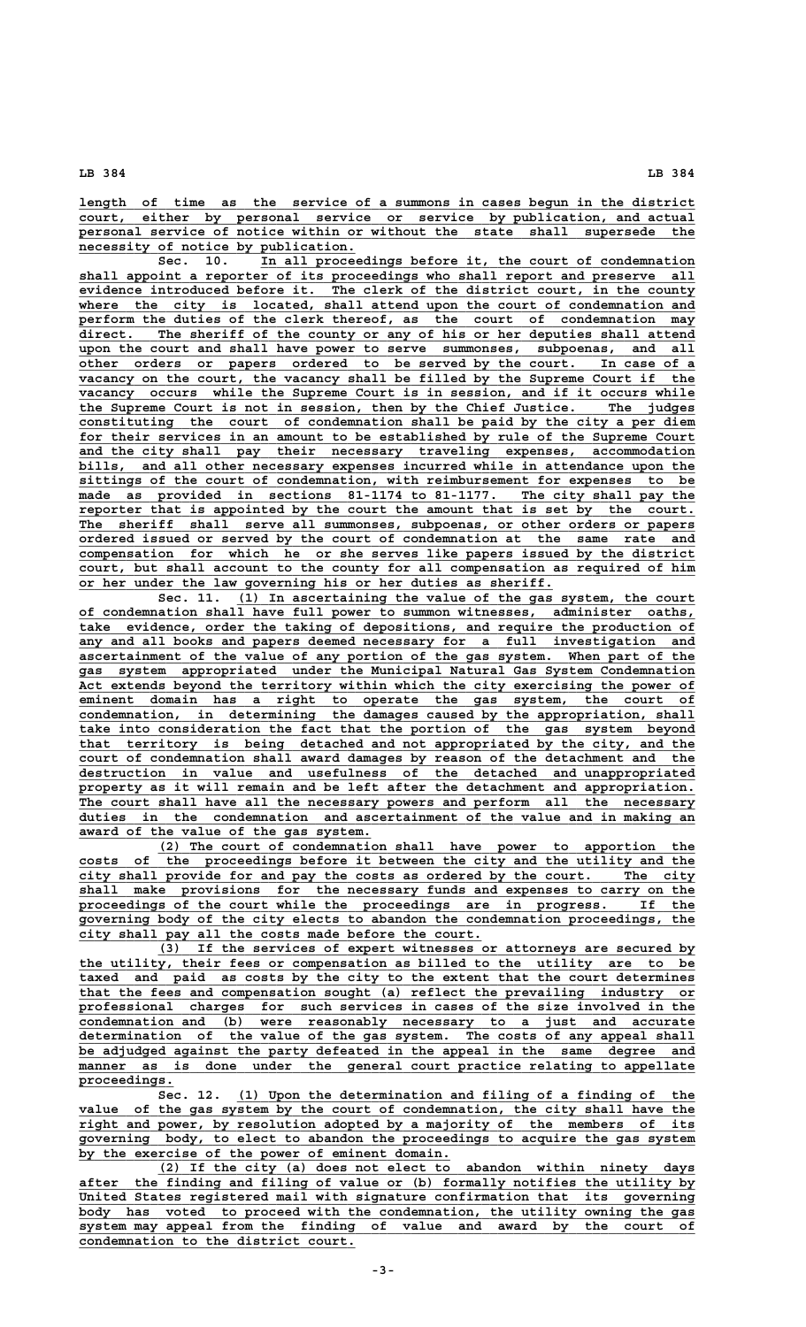length of time as the service of a summons in cases begun in the district  **\_\_\_\_\_\_\_\_\_\_\_\_\_\_\_\_\_\_\_\_\_\_\_\_\_\_\_\_\_\_\_\_\_\_\_\_\_\_\_\_\_\_\_\_\_\_\_\_\_\_\_\_\_\_\_\_\_\_\_\_\_\_\_\_\_\_\_\_\_\_\_\_\_\_\_\_\_\_ court, either by personal service or service by publication, and actual** personal service of notice within or without the state shall supersede the  **\_\_\_\_\_\_\_\_\_\_\_\_\_\_\_\_\_\_\_\_\_\_\_\_\_\_\_\_\_\_\_\_\_\_\_ necessity of notice by publication.**

 **\_\_\_\_\_\_\_\_\_\_\_\_\_\_\_\_\_\_\_\_\_\_\_\_\_\_\_\_\_\_\_\_\_\_\_\_\_\_\_\_\_\_\_\_\_\_\_\_\_\_\_\_\_\_\_ Sec. 10. In all proceedings before it, the court of condemnation \_\_\_\_\_\_\_\_\_\_\_\_\_\_\_\_\_\_\_\_\_\_\_\_\_\_\_\_\_\_\_\_\_\_\_\_\_\_\_\_\_\_\_\_\_\_\_\_\_\_\_\_\_\_\_\_\_\_\_\_\_\_\_\_\_\_\_\_\_\_\_\_\_\_\_\_\_\_ shall appoint a reporter of its proceedings who shall report and preserve all \_\_\_\_\_\_\_\_\_\_\_\_\_\_\_\_\_\_\_\_\_\_\_\_\_\_\_\_\_\_\_\_\_\_\_\_\_\_\_\_\_\_\_\_\_\_\_\_\_\_\_\_\_\_\_\_\_\_\_\_\_\_\_\_\_\_\_\_\_\_\_\_\_\_\_\_\_\_ evidence introduced before it. The clerk of the district court, in the county** where the city is located, shall attend upon the court of condemnation and perform the duties of the clerk thereof, as the court of condemnation may  $\text{direct.}$  The sheriff of the county or any of his or her deputies shall attend upon the court and shall have power to serve summonses, subpoenas, and all  **\_\_\_\_\_\_\_\_\_\_\_\_\_\_\_\_\_\_\_\_\_\_\_\_\_\_\_\_\_\_\_\_\_\_\_\_\_\_\_\_\_\_\_\_\_\_\_\_\_\_\_\_\_\_\_\_\_\_\_\_\_\_\_\_\_\_\_\_\_\_\_\_\_\_\_\_\_\_ other orders or papers ordered to be served by the court. In case of a \_\_\_\_\_\_\_\_\_\_\_\_\_\_\_\_\_\_\_\_\_\_\_\_\_\_\_\_\_\_\_\_\_\_\_\_\_\_\_\_\_\_\_\_\_\_\_\_\_\_\_\_\_\_\_\_\_\_\_\_\_\_\_\_\_\_\_\_\_\_\_\_\_\_\_\_\_\_ vacancy on the court, the vacancy shall be filled by the Supreme Court if the**  $vacancy$  occurs while the Supreme Court is in session, and if it occurs while  **\_\_\_\_\_\_\_\_\_\_\_\_\_\_\_\_\_\_\_\_\_\_\_\_\_\_\_\_\_\_\_\_\_\_\_\_\_\_\_\_\_\_\_\_\_\_\_\_\_\_\_\_\_\_\_\_\_\_\_\_\_\_\_\_\_\_\_\_\_\_\_\_\_\_\_\_\_\_ the Supreme Court is not in session, then by the Chief Justice. The judges \_\_\_\_\_\_\_\_\_\_\_\_\_\_\_\_\_\_\_\_\_\_\_\_\_\_\_\_\_\_\_\_\_\_\_\_\_\_\_\_\_\_\_\_\_\_\_\_\_\_\_\_\_\_\_\_\_\_\_\_\_\_\_\_\_\_\_\_\_\_\_\_\_\_\_\_\_\_ constituting the court of condemnation shall be paid by the city a per diem** for their services in an amount to be established by rule of the Supreme Court  **\_\_\_\_\_\_\_\_\_\_\_\_\_\_\_\_\_\_\_\_\_\_\_\_\_\_\_\_\_\_\_\_\_\_\_\_\_\_\_\_\_\_\_\_\_\_\_\_\_\_\_\_\_\_\_\_\_\_\_\_\_\_\_\_\_\_\_\_\_\_\_\_\_\_\_\_\_\_ and the city shall pay their necessary traveling expenses, accommodation \_\_\_\_\_\_\_\_\_\_\_\_\_\_\_\_\_\_\_\_\_\_\_\_\_\_\_\_\_\_\_\_\_\_\_\_\_\_\_\_\_\_\_\_\_\_\_\_\_\_\_\_\_\_\_\_\_\_\_\_\_\_\_\_\_\_\_\_\_\_\_\_\_\_\_\_\_\_ bills, and all other necessary expenses incurred while in attendance upon the \_\_\_\_\_\_\_\_\_\_\_\_\_\_\_\_\_\_\_\_\_\_\_\_\_\_\_\_\_\_\_\_\_\_\_\_\_\_\_\_\_\_\_\_\_\_\_\_\_\_\_\_\_\_\_\_\_\_\_\_\_\_\_\_\_\_\_\_\_\_\_\_\_\_\_\_\_\_ sittings of the court of condemnation, with reimbursement for expenses to be \_\_\_\_\_\_\_\_\_\_\_\_\_\_\_\_\_\_\_\_\_\_\_\_\_\_\_\_\_\_\_\_\_\_\_\_\_\_\_\_\_\_\_\_\_\_\_\_\_\_\_\_\_\_\_\_\_\_\_\_\_\_\_\_\_\_\_\_\_\_\_\_\_\_\_\_\_\_ made as provided in sections 81-1174 to 81-1177. The city shall pay the \_\_\_\_\_\_\_\_\_\_\_\_\_\_\_\_\_\_\_\_\_\_\_\_\_\_\_\_\_\_\_\_\_\_\_\_\_\_\_\_\_\_\_\_\_\_\_\_\_\_\_\_\_\_\_\_\_\_\_\_\_\_\_\_\_\_\_\_\_\_\_\_\_\_\_\_\_\_ reporter that is appointed by the court the amount that is set by the court. \_\_\_\_\_\_\_\_\_\_\_\_\_\_\_\_\_\_\_\_\_\_\_\_\_\_\_\_\_\_\_\_\_\_\_\_\_\_\_\_\_\_\_\_\_\_\_\_\_\_\_\_\_\_\_\_\_\_\_\_\_\_\_\_\_\_\_\_\_\_\_\_\_\_\_\_\_\_ The sheriff shall serve all summonses, subpoenas, or other orders or papers \_\_\_\_\_\_\_\_\_\_\_\_\_\_\_\_\_\_\_\_\_\_\_\_\_\_\_\_\_\_\_\_\_\_\_\_\_\_\_\_\_\_\_\_\_\_\_\_\_\_\_\_\_\_\_\_\_\_\_\_\_\_\_\_\_\_\_\_\_\_\_\_\_\_\_\_\_\_ ordered issued or served by the court of condemnation at the same rate and \_\_\_\_\_\_\_\_\_\_\_\_\_\_\_\_\_\_\_\_\_\_\_\_\_\_\_\_\_\_\_\_\_\_\_\_\_\_\_\_\_\_\_\_\_\_\_\_\_\_\_\_\_\_\_\_\_\_\_\_\_\_\_\_\_\_\_\_\_\_\_\_\_\_\_\_\_\_ compensation for which he or she serves like papers issued by the district \_\_\_\_\_\_\_\_\_\_\_\_\_\_\_\_\_\_\_\_\_\_\_\_\_\_\_\_\_\_\_\_\_\_\_\_\_\_\_\_\_\_\_\_\_\_\_\_\_\_\_\_\_\_\_\_\_\_\_\_\_\_\_\_\_\_\_\_\_\_\_\_\_\_\_\_\_\_ court, but shall account to the county for all compensation as required of him \_\_\_\_\_\_\_\_\_\_\_\_\_\_\_\_\_\_\_\_\_\_\_\_\_\_\_\_\_\_\_\_\_\_\_\_\_\_\_\_\_\_\_\_\_\_\_\_\_\_\_\_\_\_\_\_\_\_\_\_ or her under the law governing his or her duties as sheriff.**

 **\_\_\_\_\_\_\_\_\_\_\_\_\_\_\_\_\_\_\_\_\_\_\_\_\_\_\_\_\_\_\_\_\_\_\_\_\_\_\_\_\_\_\_\_\_\_\_\_\_\_\_\_\_\_\_\_\_\_ Sec. 11. (1) In ascertaining the value of the gas system, the court \_\_\_\_\_\_\_\_\_\_\_\_\_\_\_\_\_\_\_\_\_\_\_\_\_\_\_\_\_\_\_\_\_\_\_\_\_\_\_\_\_\_\_\_\_\_\_\_\_\_\_\_\_\_\_\_\_\_\_\_\_\_\_\_\_\_\_\_\_\_\_\_\_\_\_\_\_\_ of condemnation shall have full power to summon witnesses, administer oaths, \_\_\_\_\_\_\_\_\_\_\_\_\_\_\_\_\_\_\_\_\_\_\_\_\_\_\_\_\_\_\_\_\_\_\_\_\_\_\_\_\_\_\_\_\_\_\_\_\_\_\_\_\_\_\_\_\_\_\_\_\_\_\_\_\_\_\_\_\_\_\_\_\_\_\_\_\_\_ take evidence, order the taking of depositions, and require the production of \_\_\_\_\_\_\_\_\_\_\_\_\_\_\_\_\_\_\_\_\_\_\_\_\_\_\_\_\_\_\_\_\_\_\_\_\_\_\_\_\_\_\_\_\_\_\_\_\_\_\_\_\_\_\_\_\_\_\_\_\_\_\_\_\_\_\_\_\_\_\_\_\_\_\_\_\_\_ any and all books and papers deemed necessary for a full investigation and \_\_\_\_\_\_\_\_\_\_\_\_\_\_\_\_\_\_\_\_\_\_\_\_\_\_\_\_\_\_\_\_\_\_\_\_\_\_\_\_\_\_\_\_\_\_\_\_\_\_\_\_\_\_\_\_\_\_\_\_\_\_\_\_\_\_\_\_\_\_\_\_\_\_\_\_\_\_ ascertainment of the value of any portion of the gas system. When part of the \_\_\_\_\_\_\_\_\_\_\_\_\_\_\_\_\_\_\_\_\_\_\_\_\_\_\_\_\_\_\_\_\_\_\_\_\_\_\_\_\_\_\_\_\_\_\_\_\_\_\_\_\_\_\_\_\_\_\_\_\_\_\_\_\_\_\_\_\_\_\_\_\_\_\_\_\_\_ gas system appropriated under the Municipal Natural Gas System Condemnation** Act extends beyond the territory within which the city exercising the power of  **\_\_\_\_\_\_\_\_\_\_\_\_\_\_\_\_\_\_\_\_\_\_\_\_\_\_\_\_\_\_\_\_\_\_\_\_\_\_\_\_\_\_\_\_\_\_\_\_\_\_\_\_\_\_\_\_\_\_\_\_\_\_\_\_\_\_\_\_\_\_\_\_\_\_\_\_\_\_ eminent domain has a right to operate the gas system, the court of** condemnation, in determining the damages caused by the appropriation, shall  **\_\_\_\_\_\_\_\_\_\_\_\_\_\_\_\_\_\_\_\_\_\_\_\_\_\_\_\_\_\_\_\_\_\_\_\_\_\_\_\_\_\_\_\_\_\_\_\_\_\_\_\_\_\_\_\_\_\_\_\_\_\_\_\_\_\_\_\_\_\_\_\_\_\_\_\_\_\_ take into consideration the fact that the portion of the gas system beyond \_\_\_\_\_\_\_\_\_\_\_\_\_\_\_\_\_\_\_\_\_\_\_\_\_\_\_\_\_\_\_\_\_\_\_\_\_\_\_\_\_\_\_\_\_\_\_\_\_\_\_\_\_\_\_\_\_\_\_\_\_\_\_\_\_\_\_\_\_\_\_\_\_\_\_\_\_\_ that territory is being detached and not appropriated by the city, and the \_\_\_\_\_\_\_\_\_\_\_\_\_\_\_\_\_\_\_\_\_\_\_\_\_\_\_\_\_\_\_\_\_\_\_\_\_\_\_\_\_\_\_\_\_\_\_\_\_\_\_\_\_\_\_\_\_\_\_\_\_\_\_\_\_\_\_\_\_\_\_\_\_\_\_\_\_\_ court of condemnation shall award damages by reason of the detachment and the \_\_\_\_\_\_\_\_\_\_\_\_\_\_\_\_\_\_\_\_\_\_\_\_\_\_\_\_\_\_\_\_\_\_\_\_\_\_\_\_\_\_\_\_\_\_\_\_\_\_\_\_\_\_\_\_\_\_\_\_\_\_\_\_\_\_\_\_\_\_\_\_\_\_\_\_\_\_ destruction in value and usefulness of the detached and unappropriated** property as it will remain and be left after the detachment and appropriation. The court shall have all the necessary powers and perform all the necessary  **\_\_\_\_\_\_\_\_\_\_\_\_\_\_\_\_\_\_\_\_\_\_\_\_\_\_\_\_\_\_\_\_\_\_\_\_\_\_\_\_\_\_\_\_\_\_\_\_\_\_\_\_\_\_\_\_\_\_\_\_\_\_\_\_\_\_\_\_\_\_\_\_\_\_\_\_\_\_ duties in the condemnation and ascertainment of the value and in making an \_\_\_\_\_\_\_\_\_\_\_\_\_\_\_\_\_\_\_\_\_\_\_\_\_\_\_\_\_\_\_\_\_\_\_\_\_ award of the value of the gas system.**

 **\_\_\_\_\_\_\_\_\_\_\_\_\_\_\_\_\_\_\_\_\_\_\_\_\_\_\_\_\_\_\_\_\_\_\_\_\_\_\_\_\_\_\_\_\_\_\_\_\_\_\_\_\_\_\_\_\_\_\_\_\_\_\_\_\_\_\_\_ (2) The court of condemnation shall have power to apportion the \_\_\_\_\_\_\_\_\_\_\_\_\_\_\_\_\_\_\_\_\_\_\_\_\_\_\_\_\_\_\_\_\_\_\_\_\_\_\_\_\_\_\_\_\_\_\_\_\_\_\_\_\_\_\_\_\_\_\_\_\_\_\_\_\_\_\_\_\_\_\_\_\_\_\_\_\_\_ costs of the proceedings before it between the city and the utility and the \_\_\_\_\_\_\_\_\_\_\_\_\_\_\_\_\_\_\_\_\_\_\_\_\_\_\_\_\_\_\_\_\_\_\_\_\_\_\_\_\_\_\_\_\_\_\_\_\_\_\_\_\_\_\_\_\_\_\_\_\_\_\_\_\_\_\_\_\_\_\_\_\_\_\_\_\_\_ city shall provide for and pay the costs as ordered by the court. The city**  $s$ hall make provisions for the necessary funds and expenses to carry on the  **\_\_\_\_\_\_\_\_\_\_\_\_\_\_\_\_\_\_\_\_\_\_\_\_\_\_\_\_\_\_\_\_\_\_\_\_\_\_\_\_\_\_\_\_\_\_\_\_\_\_\_\_\_\_\_\_\_\_\_\_\_\_\_\_\_\_\_\_\_\_\_\_\_\_\_\_\_\_ proceedings of the court while the proceedings are in progress. If the \_\_\_\_\_\_\_\_\_\_\_\_\_\_\_\_\_\_\_\_\_\_\_\_\_\_\_\_\_\_\_\_\_\_\_\_\_\_\_\_\_\_\_\_\_\_\_\_\_\_\_\_\_\_\_\_\_\_\_\_\_\_\_\_\_\_\_\_\_\_\_\_\_\_\_\_\_\_ governing body of the city elects to abandon the condemnation proceedings, the \_\_\_\_\_\_\_\_\_\_\_\_\_\_\_\_\_\_\_\_\_\_\_\_\_\_\_\_\_\_\_\_\_\_\_\_\_\_\_\_\_\_\_\_\_\_\_\_\_\_\_ city shall pay all the costs made before the court.**

 **\_\_\_\_\_\_\_\_\_\_\_\_\_\_\_\_\_\_\_\_\_\_\_\_\_\_\_\_\_\_\_\_\_\_\_\_\_\_\_\_\_\_\_\_\_\_\_\_\_\_\_\_\_\_\_\_\_\_\_\_\_\_\_\_\_\_\_\_ (3) If the services of expert witnesses or attorneys are secured by \_\_\_\_\_\_\_\_\_\_\_\_\_\_\_\_\_\_\_\_\_\_\_\_\_\_\_\_\_\_\_\_\_\_\_\_\_\_\_\_\_\_\_\_\_\_\_\_\_\_\_\_\_\_\_\_\_\_\_\_\_\_\_\_\_\_\_\_\_\_\_\_\_\_\_\_\_\_ the utility, their fees or compensation as billed to the utility are to be \_\_\_\_\_\_\_\_\_\_\_\_\_\_\_\_\_\_\_\_\_\_\_\_\_\_\_\_\_\_\_\_\_\_\_\_\_\_\_\_\_\_\_\_\_\_\_\_\_\_\_\_\_\_\_\_\_\_\_\_\_\_\_\_\_\_\_\_\_\_\_\_\_\_\_\_\_\_ taxed and paid as costs by the city to the extent that the court determines \_\_\_\_\_\_\_\_\_\_\_\_\_\_\_\_\_\_\_\_\_\_\_\_\_\_\_\_\_\_\_\_\_\_\_\_\_\_\_\_\_\_\_\_\_\_\_\_\_\_\_\_\_\_\_\_\_\_\_\_\_\_\_\_\_\_\_\_\_\_\_\_\_\_\_\_\_\_ that the fees and compensation sought (a) reflect the prevailing industry or \_\_\_\_\_\_\_\_\_\_\_\_\_\_\_\_\_\_\_\_\_\_\_\_\_\_\_\_\_\_\_\_\_\_\_\_\_\_\_\_\_\_\_\_\_\_\_\_\_\_\_\_\_\_\_\_\_\_\_\_\_\_\_\_\_\_\_\_\_\_\_\_\_\_\_\_\_\_ professional charges for such services in cases of the size involved in the \_\_\_\_\_\_\_\_\_\_\_\_\_\_\_\_\_\_\_\_\_\_\_\_\_\_\_\_\_\_\_\_\_\_\_\_\_\_\_\_\_\_\_\_\_\_\_\_\_\_\_\_\_\_\_\_\_\_\_\_\_\_\_\_\_\_\_\_\_\_\_\_\_\_\_\_\_\_ condemnation and (b) were reasonably necessary to a just and accurate** determination of the value of the gas system. The costs of any appeal shall  **\_\_\_\_\_\_\_\_\_\_\_\_\_\_\_\_\_\_\_\_\_\_\_\_\_\_\_\_\_\_\_\_\_\_\_\_\_\_\_\_\_\_\_\_\_\_\_\_\_\_\_\_\_\_\_\_\_\_\_\_\_\_\_\_\_\_\_\_\_\_\_\_\_\_\_\_\_\_ be adjudged against the party defeated in the appeal in the same degree and \_\_\_\_\_\_\_\_\_\_\_\_\_\_\_\_\_\_\_\_\_\_\_\_\_\_\_\_\_\_\_\_\_\_\_\_\_\_\_\_\_\_\_\_\_\_\_\_\_\_\_\_\_\_\_\_\_\_\_\_\_\_\_\_\_\_\_\_\_\_\_\_\_\_\_\_\_\_ manner as is done under the general court practice relating to appellate proceedings. \_\_\_\_\_\_\_\_\_\_\_\_**

 **\_\_\_\_\_\_\_\_\_\_\_\_\_\_\_\_\_\_\_\_\_\_\_\_\_\_\_\_\_\_\_\_\_\_\_\_\_\_\_\_\_\_\_\_\_\_\_\_\_\_\_\_\_\_\_\_\_\_ Sec. 12. (1) Upon the determination and filing of a finding of the** value of the gas system by the court of condemnation, the city shall have the  **\_\_\_\_\_\_\_\_\_\_\_\_\_\_\_\_\_\_\_\_\_\_\_\_\_\_\_\_\_\_\_\_\_\_\_\_\_\_\_\_\_\_\_\_\_\_\_\_\_\_\_\_\_\_\_\_\_\_\_\_\_\_\_\_\_\_\_\_\_\_\_\_\_\_\_\_\_\_ right and power, by resolution adopted by a majority of the members of its \_\_\_\_\_\_\_\_\_\_\_\_\_\_\_\_\_\_\_\_\_\_\_\_\_\_\_\_\_\_\_\_\_\_\_\_\_\_\_\_\_\_\_\_\_\_\_\_\_\_\_\_\_\_\_\_\_\_\_\_\_\_\_\_\_\_\_\_\_\_\_\_\_\_\_\_\_\_ governing body, to elect to abandon the proceedings to acquire the gas system** by the exercise of the power of eminent domain.

 **\_\_\_\_\_\_\_\_\_\_\_\_\_\_\_\_\_\_\_\_\_\_\_\_\_\_\_\_\_\_\_\_\_\_\_\_\_\_\_\_\_\_\_\_\_\_\_\_\_\_\_\_\_\_\_\_\_\_\_\_\_\_\_\_\_\_\_\_ (2) If the city (a) does not elect to abandon within ninety days \_\_\_\_\_\_\_\_\_\_\_\_\_\_\_\_\_\_\_\_\_\_\_\_\_\_\_\_\_\_\_\_\_\_\_\_\_\_\_\_\_\_\_\_\_\_\_\_\_\_\_\_\_\_\_\_\_\_\_\_\_\_\_\_\_\_\_\_\_\_\_\_\_\_\_\_\_\_ after the finding and filing of value or (b) formally notifies the utility by** United States registered mail with signature confirmation that its governing<br>body has voted to proceed with the condemnation, the utility owning the gas  **\_\_\_\_\_\_\_\_\_\_\_\_\_\_\_\_\_\_\_\_\_\_\_\_\_\_\_\_\_\_\_\_\_\_\_\_\_\_\_\_\_\_\_\_\_\_\_\_\_\_\_\_\_\_\_\_\_\_\_\_\_\_\_\_\_\_\_\_\_\_\_\_\_\_\_\_\_\_ body has voted to proceed with the condemnation, the utility owning the gas \_\_\_\_\_\_\_\_\_\_\_\_\_\_\_\_\_\_\_\_\_\_\_\_\_\_\_\_\_\_\_\_\_\_\_\_\_\_\_\_\_\_\_\_\_\_\_\_\_\_\_\_\_\_\_\_\_\_\_\_\_\_\_\_\_\_\_\_\_\_\_\_\_\_\_\_\_\_ system may appeal from the finding of value and award by the court of \_\_\_\_\_\_\_\_\_\_\_\_\_\_\_\_\_\_\_\_\_\_\_\_\_\_\_\_\_\_\_\_\_\_\_ condemnation to the district court.**

 **-3-**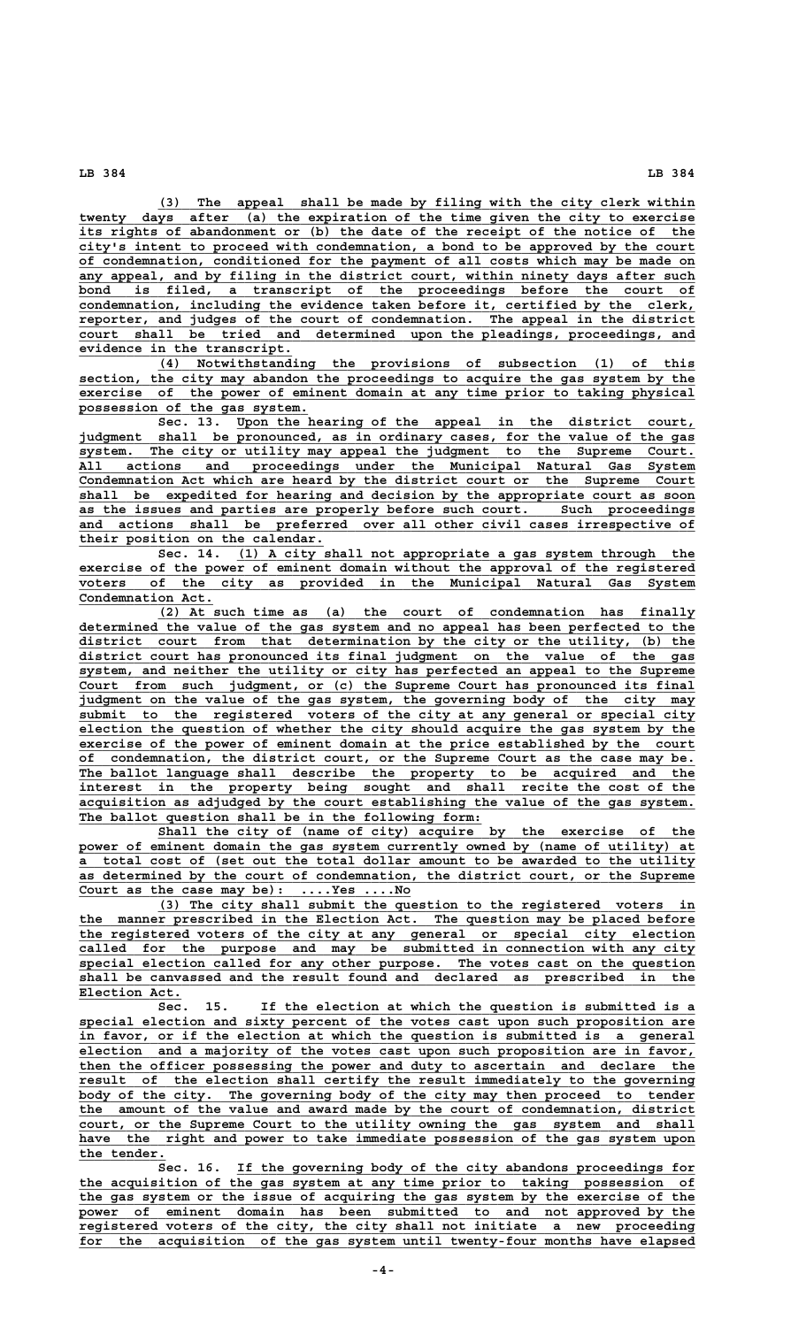**\_\_\_\_\_\_\_\_\_\_\_\_\_\_\_\_\_\_\_\_\_\_\_\_\_\_\_\_\_\_\_\_\_\_\_\_\_\_\_\_\_\_\_\_\_\_\_\_\_\_\_\_\_\_\_\_\_\_\_\_\_\_\_\_\_\_\_\_ (3) The appeal shall be made by filing with the city clerk within** twenty days after (a) the expiration of the time given the city to exercise its rights of abandonment or (b) the date of the receipt of the notice of the  **\_\_\_\_\_\_\_\_\_\_\_\_\_\_\_\_\_\_\_\_\_\_\_\_\_\_\_\_\_\_\_\_\_\_\_\_\_\_\_\_\_\_\_\_\_\_\_\_\_\_\_\_\_\_\_\_\_\_\_\_\_\_\_\_\_\_\_\_\_\_\_\_\_\_\_\_\_\_ city's intent to proceed with condemnation, a bond to be approved by the court \_\_\_\_\_\_\_\_\_\_\_\_\_\_\_\_\_\_\_\_\_\_\_\_\_\_\_\_\_\_\_\_\_\_\_\_\_\_\_\_\_\_\_\_\_\_\_\_\_\_\_\_\_\_\_\_\_\_\_\_\_\_\_\_\_\_\_\_\_\_\_\_\_\_\_\_\_\_ of condemnation, conditioned for the payment of all costs which may be made on \_\_\_\_\_\_\_\_\_\_\_\_\_\_\_\_\_\_\_\_\_\_\_\_\_\_\_\_\_\_\_\_\_\_\_\_\_\_\_\_\_\_\_\_\_\_\_\_\_\_\_\_\_\_\_\_\_\_\_\_\_\_\_\_\_\_\_\_\_\_\_\_\_\_\_\_\_\_ any appeal, and by filing in the district court, within ninety days after such \_\_\_\_\_\_\_\_\_\_\_\_\_\_\_\_\_\_\_\_\_\_\_\_\_\_\_\_\_\_\_\_\_\_\_\_\_\_\_\_\_\_\_\_\_\_\_\_\_\_\_\_\_\_\_\_\_\_\_\_\_\_\_\_\_\_\_\_\_\_\_\_\_\_\_\_\_\_ bond is filed, a transcript of the proceedings before the court of \_\_\_\_\_\_\_\_\_\_\_\_\_\_\_\_\_\_\_\_\_\_\_\_\_\_\_\_\_\_\_\_\_\_\_\_\_\_\_\_\_\_\_\_\_\_\_\_\_\_\_\_\_\_\_\_\_\_\_\_\_\_\_\_\_\_\_\_\_\_\_\_\_\_\_\_\_\_ condemnation, including the evidence taken before it, certified by the clerk, \_\_\_\_\_\_\_\_\_\_\_\_\_\_\_\_\_\_\_\_\_\_\_\_\_\_\_\_\_\_\_\_\_\_\_\_\_\_\_\_\_\_\_\_\_\_\_\_\_\_\_\_\_\_\_\_\_\_\_\_\_\_\_\_\_\_\_\_\_\_\_\_\_\_\_\_\_\_ reporter, and judges of the court of condemnation. The appeal in the district \_\_\_\_\_\_\_\_\_\_\_\_\_\_\_\_\_\_\_\_\_\_\_\_\_\_\_\_\_\_\_\_\_\_\_\_\_\_\_\_\_\_\_\_\_\_\_\_\_\_\_\_\_\_\_\_\_\_\_\_\_\_\_\_\_\_\_\_\_\_\_\_\_\_\_\_\_\_ court shall be tried and determined upon the pleadings, proceedings, and \_\_\_\_\_\_\_\_\_\_\_\_\_\_\_\_\_\_\_\_\_\_\_\_\_\_\_ evidence in the transcript.**

 **\_\_\_\_\_\_\_\_\_\_\_\_\_\_\_\_\_\_\_\_\_\_\_\_\_\_\_\_\_\_\_\_\_\_\_\_\_\_\_\_\_\_\_\_\_\_\_\_\_\_\_\_\_\_\_\_\_\_\_\_\_\_\_\_\_\_\_\_ (4) Notwithstanding the provisions of subsection (1) of this \_\_\_\_\_\_\_\_\_\_\_\_\_\_\_\_\_\_\_\_\_\_\_\_\_\_\_\_\_\_\_\_\_\_\_\_\_\_\_\_\_\_\_\_\_\_\_\_\_\_\_\_\_\_\_\_\_\_\_\_\_\_\_\_\_\_\_\_\_\_\_\_\_\_\_\_\_\_ section, the city may abandon the proceedings to acquire the gas system by the \_\_\_\_\_\_\_\_\_\_\_\_\_\_\_\_\_\_\_\_\_\_\_\_\_\_\_\_\_\_\_\_\_\_\_\_\_\_\_\_\_\_\_\_\_\_\_\_\_\_\_\_\_\_\_\_\_\_\_\_\_\_\_\_\_\_\_\_\_\_\_\_\_\_\_\_\_\_ exercise of the power of eminent domain at any time prior to taking physical \_\_\_\_\_\_\_\_\_\_\_\_\_\_\_\_\_\_\_\_\_\_\_\_\_\_\_\_\_ possession of the gas system.**

 **\_\_\_\_\_\_\_\_\_\_\_\_\_\_\_\_\_\_\_\_\_\_\_\_\_\_\_\_\_\_\_\_\_\_\_\_\_\_\_\_\_\_\_\_\_\_\_\_\_\_\_\_\_\_\_\_\_\_ Sec. 13. Upon the hearing of the appeal in the district court, \_\_\_\_\_\_\_\_\_\_\_\_\_\_\_\_\_\_\_\_\_\_\_\_\_\_\_\_\_\_\_\_\_\_\_\_\_\_\_\_\_\_\_\_\_\_\_\_\_\_\_\_\_\_\_\_\_\_\_\_\_\_\_\_\_\_\_\_\_\_\_\_\_\_\_\_\_\_ judgment shall be pronounced, as in ordinary cases, for the value of the gas \_\_\_\_\_\_\_\_\_\_\_\_\_\_\_\_\_\_\_\_\_\_\_\_\_\_\_\_\_\_\_\_\_\_\_\_\_\_\_\_\_\_\_\_\_\_\_\_\_\_\_\_\_\_\_\_\_\_\_\_\_\_\_\_\_\_\_\_\_\_\_\_\_\_\_\_\_\_ system. The city or utility may appeal the judgment to the Supreme Court. \_\_\_\_\_\_\_\_\_\_\_\_\_\_\_\_\_\_\_\_\_\_\_\_\_\_\_\_\_\_\_\_\_\_\_\_\_\_\_\_\_\_\_\_\_\_\_\_\_\_\_\_\_\_\_\_\_\_\_\_\_\_\_\_\_\_\_\_\_\_\_\_\_\_\_\_\_\_ All actions and proceedings under the Municipal Natural Gas System \_\_\_\_\_\_\_\_\_\_\_\_\_\_\_\_\_\_\_\_\_\_\_\_\_\_\_\_\_\_\_\_\_\_\_\_\_\_\_\_\_\_\_\_\_\_\_\_\_\_\_\_\_\_\_\_\_\_\_\_\_\_\_\_\_\_\_\_\_\_\_\_\_\_\_\_\_\_ Condemnation Act which are heard by the district court or the Supreme Court \_\_\_\_\_\_\_\_\_\_\_\_\_\_\_\_\_\_\_\_\_\_\_\_\_\_\_\_\_\_\_\_\_\_\_\_\_\_\_\_\_\_\_\_\_\_\_\_\_\_\_\_\_\_\_\_\_\_\_\_\_\_\_\_\_\_\_\_\_\_\_\_\_\_\_\_\_\_ shall be expedited for hearing and decision by the appropriate court as soon \_\_\_\_\_\_\_\_\_\_\_\_\_\_\_\_\_\_\_\_\_\_\_\_\_\_\_\_\_\_\_\_\_\_\_\_\_\_\_\_\_\_\_\_\_\_\_\_\_\_\_\_\_\_\_\_\_\_\_\_\_\_\_\_\_\_\_\_\_\_\_\_\_\_\_\_\_\_ as the issues and parties are properly before such court. Such proceedings \_\_\_\_\_\_\_\_\_\_\_\_\_\_\_\_\_\_\_\_\_\_\_\_\_\_\_\_\_\_\_\_\_\_\_\_\_\_\_\_\_\_\_\_\_\_\_\_\_\_\_\_\_\_\_\_\_\_\_\_\_\_\_\_\_\_\_\_\_\_\_\_\_\_\_\_\_\_ and actions shall be preferred over all other civil cases irrespective of \_\_\_\_\_\_\_\_\_\_\_\_\_\_\_\_\_\_\_\_\_\_\_\_\_\_\_\_\_\_\_ their position on the calendar.**

 **\_\_\_\_\_\_\_\_\_\_\_\_\_\_\_\_\_\_\_\_\_\_\_\_\_\_\_\_\_\_\_\_\_\_\_\_\_\_\_\_\_\_\_\_\_\_\_\_\_\_\_\_\_\_\_\_\_\_ Sec. 14. (1) A city shall not appropriate a gas system through the \_\_\_\_\_\_\_\_\_\_\_\_\_\_\_\_\_\_\_\_\_\_\_\_\_\_\_\_\_\_\_\_\_\_\_\_\_\_\_\_\_\_\_\_\_\_\_\_\_\_\_\_\_\_\_\_\_\_\_\_\_\_\_\_\_\_\_\_\_\_\_\_\_\_\_\_\_\_ exercise of the power of eminent domain without the approval of the registered \_\_\_\_\_\_\_\_\_\_\_\_\_\_\_\_\_\_\_\_\_\_\_\_\_\_\_\_\_\_\_\_\_\_\_\_\_\_\_\_\_\_\_\_\_\_\_\_\_\_\_\_\_\_\_\_\_\_\_\_\_\_\_\_\_\_\_\_\_\_\_\_\_\_\_\_\_\_ voters of the city as provided in the Municipal Natural Gas System** Condemnation Act.

 **\_\_\_\_\_\_\_\_\_\_\_\_\_\_\_\_\_\_\_\_\_\_\_\_\_\_\_\_\_\_\_\_\_\_\_\_\_\_\_\_\_\_\_\_\_\_\_\_\_\_\_\_\_\_\_\_\_\_\_\_\_\_\_\_\_\_\_\_ (2) At such time as (a) the court of condemnation has finally \_\_\_\_\_\_\_\_\_\_\_\_\_\_\_\_\_\_\_\_\_\_\_\_\_\_\_\_\_\_\_\_\_\_\_\_\_\_\_\_\_\_\_\_\_\_\_\_\_\_\_\_\_\_\_\_\_\_\_\_\_\_\_\_\_\_\_\_\_\_\_\_\_\_\_\_\_\_ determined the value of the gas system and no appeal has been perfected to the \_\_\_\_\_\_\_\_\_\_\_\_\_\_\_\_\_\_\_\_\_\_\_\_\_\_\_\_\_\_\_\_\_\_\_\_\_\_\_\_\_\_\_\_\_\_\_\_\_\_\_\_\_\_\_\_\_\_\_\_\_\_\_\_\_\_\_\_\_\_\_\_\_\_\_\_\_\_ district court from that determination by the city or the utility, (b) the \_\_\_\_\_\_\_\_\_\_\_\_\_\_\_\_\_\_\_\_\_\_\_\_\_\_\_\_\_\_\_\_\_\_\_\_\_\_\_\_\_\_\_\_\_\_\_\_\_\_\_\_\_\_\_\_\_\_\_\_\_\_\_\_\_\_\_\_\_\_\_\_\_\_\_\_\_\_ district court has pronounced its final judgment on the value of the gas \_\_\_\_\_\_\_\_\_\_\_\_\_\_\_\_\_\_\_\_\_\_\_\_\_\_\_\_\_\_\_\_\_\_\_\_\_\_\_\_\_\_\_\_\_\_\_\_\_\_\_\_\_\_\_\_\_\_\_\_\_\_\_\_\_\_\_\_\_\_\_\_\_\_\_\_\_\_ system, and neither the utility or city has perfected an appeal to the Supreme \_\_\_\_\_\_\_\_\_\_\_\_\_\_\_\_\_\_\_\_\_\_\_\_\_\_\_\_\_\_\_\_\_\_\_\_\_\_\_\_\_\_\_\_\_\_\_\_\_\_\_\_\_\_\_\_\_\_\_\_\_\_\_\_\_\_\_\_\_\_\_\_\_\_\_\_\_\_ Court from such judgment, or (c) the Supreme Court has pronounced its final \_\_\_\_\_\_\_\_\_\_\_\_\_\_\_\_\_\_\_\_\_\_\_\_\_\_\_\_\_\_\_\_\_\_\_\_\_\_\_\_\_\_\_\_\_\_\_\_\_\_\_\_\_\_\_\_\_\_\_\_\_\_\_\_\_\_\_\_\_\_\_\_\_\_\_\_\_\_ judgment on the value of the gas system, the governing body of the city may** submit to the registered voters of the city at any general or special city  **\_\_\_\_\_\_\_\_\_\_\_\_\_\_\_\_\_\_\_\_\_\_\_\_\_\_\_\_\_\_\_\_\_\_\_\_\_\_\_\_\_\_\_\_\_\_\_\_\_\_\_\_\_\_\_\_\_\_\_\_\_\_\_\_\_\_\_\_\_\_\_\_\_\_\_\_\_\_ election the question of whether the city should acquire the gas system by the** exercise of the power of eminent domain at the price established by the court of condemnation, the district court, or the Supreme Court as the case may be. The ballot language shall describe the property to be acquired and the interest in the property being sought and shall recite the cost of the  **\_\_\_\_\_\_\_\_\_\_\_\_\_\_\_\_\_\_\_\_\_\_\_\_\_\_\_\_\_\_\_\_\_\_\_\_\_\_\_\_\_\_\_\_\_\_\_\_\_\_\_\_\_\_\_\_\_\_\_\_\_\_\_\_\_\_\_\_\_\_\_\_\_\_\_\_\_\_ acquisition as adjudged by the court establishing the value of the gas system. \_\_\_\_\_\_\_\_\_\_\_\_\_\_\_\_\_\_\_\_\_\_\_\_\_\_\_\_\_\_\_\_\_\_\_\_\_\_\_\_\_\_\_\_\_\_\_\_\_\_\_ The ballot question shall be in the following form:**

Shall the city of (name of city) acquire by the exercise of the power of eminent domain the gas system currently owned by (name of utility) at  **\_\_\_\_\_\_\_\_\_\_\_\_\_\_\_\_\_\_\_\_\_\_\_\_\_\_\_\_\_\_\_\_\_\_\_\_\_\_\_\_\_\_\_\_\_\_\_\_\_\_\_\_\_\_\_\_\_\_\_\_\_\_\_\_\_\_\_\_\_\_\_\_\_\_\_\_\_\_ a total cost of (set out the total dollar amount to be awarded to the utility \_\_\_\_\_\_\_\_\_\_\_\_\_\_\_\_\_\_\_\_\_\_\_\_\_\_\_\_\_\_\_\_\_\_\_\_\_\_\_\_\_\_\_\_\_\_\_\_\_\_\_\_\_\_\_\_\_\_\_\_\_\_\_\_\_\_\_\_\_\_\_\_\_\_\_\_\_\_ as determined by the court of condemnation, the district court, or the Supreme \_\_\_\_\_\_\_\_\_\_\_\_\_\_\_\_\_\_\_\_\_\_\_\_\_\_\_\_\_\_\_\_\_\_\_\_\_\_\_\_\_\_ Court as the case may be): ....Yes ....No**

 **\_\_\_\_\_\_\_\_\_\_\_\_\_\_\_\_\_\_\_\_\_\_\_\_\_\_\_\_\_\_\_\_\_\_\_\_\_\_\_\_\_\_\_\_\_\_\_\_\_\_\_\_\_\_\_\_\_\_\_\_\_\_\_\_\_\_\_\_ (3) The city shall submit the question to the registered voters in \_\_\_\_\_\_\_\_\_\_\_\_\_\_\_\_\_\_\_\_\_\_\_\_\_\_\_\_\_\_\_\_\_\_\_\_\_\_\_\_\_\_\_\_\_\_\_\_\_\_\_\_\_\_\_\_\_\_\_\_\_\_\_\_\_\_\_\_\_\_\_\_\_\_\_\_\_\_ the manner prescribed in the Election Act. The question may be placed before \_\_\_\_\_\_\_\_\_\_\_\_\_\_\_\_\_\_\_\_\_\_\_\_\_\_\_\_\_\_\_\_\_\_\_\_\_\_\_\_\_\_\_\_\_\_\_\_\_\_\_\_\_\_\_\_\_\_\_\_\_\_\_\_\_\_\_\_\_\_\_\_\_\_\_\_\_\_ the registered voters of the city at any general or special city election \_\_\_\_\_\_\_\_\_\_\_\_\_\_\_\_\_\_\_\_\_\_\_\_\_\_\_\_\_\_\_\_\_\_\_\_\_\_\_\_\_\_\_\_\_\_\_\_\_\_\_\_\_\_\_\_\_\_\_\_\_\_\_\_\_\_\_\_\_\_\_\_\_\_\_\_\_\_ called for the purpose and may be submitted in connection with any city \_\_\_\_\_\_\_\_\_\_\_\_\_\_\_\_\_\_\_\_\_\_\_\_\_\_\_\_\_\_\_\_\_\_\_\_\_\_\_\_\_\_\_\_\_\_\_\_\_\_\_\_\_\_\_\_\_\_\_\_\_\_\_\_\_\_\_\_\_\_\_\_\_\_\_\_\_\_ special election called for any other purpose. The votes cast on the question \_\_\_\_\_\_\_\_\_\_\_\_\_\_\_\_\_\_\_\_\_\_\_\_\_\_\_\_\_\_\_\_\_\_\_\_\_\_\_\_\_\_\_\_\_\_\_\_\_\_\_\_\_\_\_\_\_\_\_\_\_\_\_\_\_\_\_\_\_\_\_\_\_\_\_\_\_\_ shall be canvassed and the result found and declared as prescribed in the** Election Act.

Sec. 15. If the election at which the question is submitted is a  **\_\_\_\_\_\_\_\_\_\_\_\_\_\_\_\_\_\_\_\_\_\_\_\_\_\_\_\_\_\_\_\_\_\_\_\_\_\_\_\_\_\_\_\_\_\_\_\_\_\_\_\_\_\_\_\_\_\_\_\_\_\_\_\_\_\_\_\_\_\_\_\_\_\_\_\_\_\_ special election and sixty percent of the votes cast upon such proposition are \_\_\_\_\_\_\_\_\_\_\_\_\_\_\_\_\_\_\_\_\_\_\_\_\_\_\_\_\_\_\_\_\_\_\_\_\_\_\_\_\_\_\_\_\_\_\_\_\_\_\_\_\_\_\_\_\_\_\_\_\_\_\_\_\_\_\_\_\_\_\_\_\_\_\_\_\_\_ in favor, or if the election at which the question is submitted is a general \_\_\_\_\_\_\_\_\_\_\_\_\_\_\_\_\_\_\_\_\_\_\_\_\_\_\_\_\_\_\_\_\_\_\_\_\_\_\_\_\_\_\_\_\_\_\_\_\_\_\_\_\_\_\_\_\_\_\_\_\_\_\_\_\_\_\_\_\_\_\_\_\_\_\_\_\_\_ election and a majority of the votes cast upon such proposition are in favor, \_\_\_\_\_\_\_\_\_\_\_\_\_\_\_\_\_\_\_\_\_\_\_\_\_\_\_\_\_\_\_\_\_\_\_\_\_\_\_\_\_\_\_\_\_\_\_\_\_\_\_\_\_\_\_\_\_\_\_\_\_\_\_\_\_\_\_\_\_\_\_\_\_\_\_\_\_\_ then the officer possessing the power and duty to ascertain and declare the** result of the election shall certify the result immediately to the governing body of the city. The governing body of the city may then proceed to tender  **\_\_\_\_\_\_\_\_\_\_\_\_\_\_\_\_\_\_\_\_\_\_\_\_\_\_\_\_\_\_\_\_\_\_\_\_\_\_\_\_\_\_\_\_\_\_\_\_\_\_\_\_\_\_\_\_\_\_\_\_\_\_\_\_\_\_\_\_\_\_\_\_\_\_\_\_\_\_ the amount of the value and award made by the court of condemnation, district \_\_\_\_\_\_\_\_\_\_\_\_\_\_\_\_\_\_\_\_\_\_\_\_\_\_\_\_\_\_\_\_\_\_\_\_\_\_\_\_\_\_\_\_\_\_\_\_\_\_\_\_\_\_\_\_\_\_\_\_\_\_\_\_\_\_\_\_\_\_\_\_\_\_\_\_\_\_ court, or the Supreme Court to the utility owning the gas system and shall \_\_\_\_\_\_\_\_\_\_\_\_\_\_\_\_\_\_\_\_\_\_\_\_\_\_\_\_\_\_\_\_\_\_\_\_\_\_\_\_\_\_\_\_\_\_\_\_\_\_\_\_\_\_\_\_\_\_\_\_\_\_\_\_\_\_\_\_\_\_\_\_\_\_\_\_\_\_ have the right and power to take immediate possession of the gas system upon** the tender.

Sec. 16. If the governing body of the city abandons proceedings for the acquisition of the gas system at any time prior to taking possession of  **\_\_\_\_\_\_\_\_\_\_\_\_\_\_\_\_\_\_\_\_\_\_\_\_\_\_\_\_\_\_\_\_\_\_\_\_\_\_\_\_\_\_\_\_\_\_\_\_\_\_\_\_\_\_\_\_\_\_\_\_\_\_\_\_\_\_\_\_\_\_\_\_\_\_\_\_\_\_ the gas system or the issue of acquiring the gas system by the exercise of the \_\_\_\_\_\_\_\_\_\_\_\_\_\_\_\_\_\_\_\_\_\_\_\_\_\_\_\_\_\_\_\_\_\_\_\_\_\_\_\_\_\_\_\_\_\_\_\_\_\_\_\_\_\_\_\_\_\_\_\_\_\_\_\_\_\_\_\_\_\_\_\_\_\_\_\_\_\_ power of eminent domain has been submitted to and not approved by the** power of eminent domain has been submitted to and not approved by the registered voters of the city, the city shall not initiate a new proceeding for the acquisition of the gas system until twenty-four months have elapsed

 **LB 384 LB 384**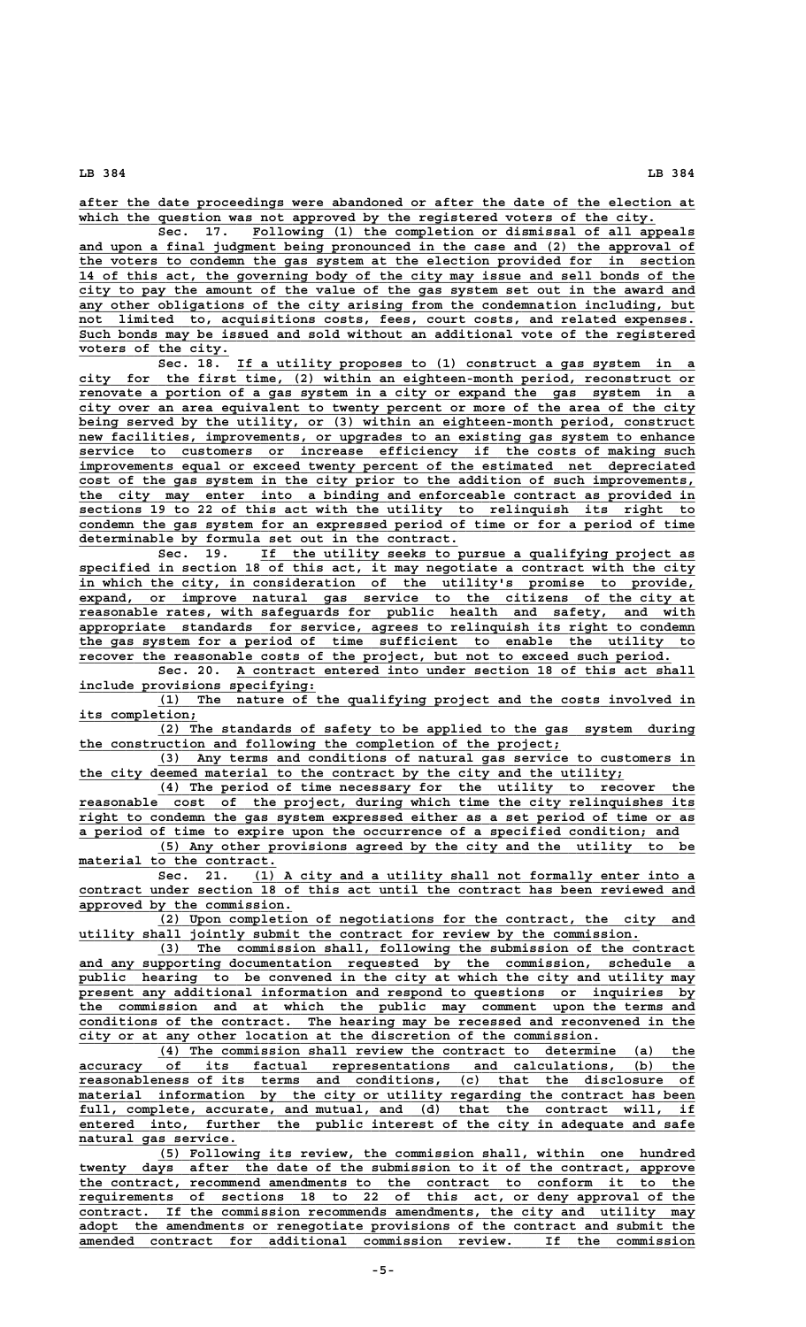**\_\_\_\_\_\_\_\_\_\_\_\_\_\_\_\_\_\_\_\_\_\_\_\_\_\_\_\_\_\_\_\_\_\_\_\_\_\_\_\_\_\_\_\_\_\_\_\_\_\_\_\_\_\_\_\_\_\_\_\_\_\_\_\_\_\_\_\_\_\_\_\_\_\_\_\_\_\_ after the date proceedings were abandoned or after the date of the election at** which the question was not approved by the registered voters of the city.

Sec. 17. Following (1) the completion or dismissal of all appeals  **\_\_\_\_\_\_\_\_\_\_\_\_\_\_\_\_\_\_\_\_\_\_\_\_\_\_\_\_\_\_\_\_\_\_\_\_\_\_\_\_\_\_\_\_\_\_\_\_\_\_\_\_\_\_\_\_\_\_\_\_\_\_\_\_\_\_\_\_\_\_\_\_\_\_\_\_\_\_ and upon a final judgment being pronounced in the case and (2) the approval of \_\_\_\_\_\_\_\_\_\_\_\_\_\_\_\_\_\_\_\_\_\_\_\_\_\_\_\_\_\_\_\_\_\_\_\_\_\_\_\_\_\_\_\_\_\_\_\_\_\_\_\_\_\_\_\_\_\_\_\_\_\_\_\_\_\_\_\_\_\_\_\_\_\_\_\_\_\_ the voters to condemn the gas system at the election provided for in section \_\_\_\_\_\_\_\_\_\_\_\_\_\_\_\_\_\_\_\_\_\_\_\_\_\_\_\_\_\_\_\_\_\_\_\_\_\_\_\_\_\_\_\_\_\_\_\_\_\_\_\_\_\_\_\_\_\_\_\_\_\_\_\_\_\_\_\_\_\_\_\_\_\_\_\_\_\_ 14 of this act, the governing body of the city may issue and sell bonds of the \_\_\_\_\_\_\_\_\_\_\_\_\_\_\_\_\_\_\_\_\_\_\_\_\_\_\_\_\_\_\_\_\_\_\_\_\_\_\_\_\_\_\_\_\_\_\_\_\_\_\_\_\_\_\_\_\_\_\_\_\_\_\_\_\_\_\_\_\_\_\_\_\_\_\_\_\_\_ city to pay the amount of the value of the gas system set out in the award and** any other obligations of the city arising from the condemnation including, but  **\_\_\_\_\_\_\_\_\_\_\_\_\_\_\_\_\_\_\_\_\_\_\_\_\_\_\_\_\_\_\_\_\_\_\_\_\_\_\_\_\_\_\_\_\_\_\_\_\_\_\_\_\_\_\_\_\_\_\_\_\_\_\_\_\_\_\_\_\_\_\_\_\_\_\_\_\_\_ not limited to, acquisitions costs, fees, court costs, and related expenses. \_\_\_\_\_\_\_\_\_\_\_\_\_\_\_\_\_\_\_\_\_\_\_\_\_\_\_\_\_\_\_\_\_\_\_\_\_\_\_\_\_\_\_\_\_\_\_\_\_\_\_\_\_\_\_\_\_\_\_\_\_\_\_\_\_\_\_\_\_\_\_\_\_\_\_\_\_\_ Such bonds may be issued and sold without an additional vote of the registered voters of the city.**<br>Sec. 18.

 **\_\_\_\_\_\_\_\_\_\_\_\_\_\_\_\_\_\_\_\_\_\_\_\_\_\_\_\_\_\_\_\_\_\_\_\_\_\_\_\_\_\_\_\_\_\_\_\_\_\_\_\_\_\_\_\_\_\_ Sec. 18. If a utility proposes to (1) construct a gas system in a \_\_\_\_\_\_\_\_\_\_\_\_\_\_\_\_\_\_\_\_\_\_\_\_\_\_\_\_\_\_\_\_\_\_\_\_\_\_\_\_\_\_\_\_\_\_\_\_\_\_\_\_\_\_\_\_\_\_\_\_\_\_\_\_\_\_\_\_\_\_\_\_\_\_\_\_\_\_ city for the first time, (2) within an eighteen-month period, reconstruct or** renovate a portion of a gas system in a city or expand the gas system in a  **\_\_\_\_\_\_\_\_\_\_\_\_\_\_\_\_\_\_\_\_\_\_\_\_\_\_\_\_\_\_\_\_\_\_\_\_\_\_\_\_\_\_\_\_\_\_\_\_\_\_\_\_\_\_\_\_\_\_\_\_\_\_\_\_\_\_\_\_\_\_\_\_\_\_\_\_\_\_ city over an area equivalent to twenty percent or more of the area of the city** being served by the utility, or (3) within an eighteen-month period, construct  $new$  facilities, improvements, or upgrades to an existing gas system to enhance service to customers or increase efficiency if the costs of making such  **\_\_\_\_\_\_\_\_\_\_\_\_\_\_\_\_\_\_\_\_\_\_\_\_\_\_\_\_\_\_\_\_\_\_\_\_\_\_\_\_\_\_\_\_\_\_\_\_\_\_\_\_\_\_\_\_\_\_\_\_\_\_\_\_\_\_\_\_\_\_\_\_\_\_\_\_\_\_ improvements equal or exceed twenty percent of the estimated net depreciated** cost of the gas system in the city prior to the addition of such improvements,  **\_\_\_\_\_\_\_\_\_\_\_\_\_\_\_\_\_\_\_\_\_\_\_\_\_\_\_\_\_\_\_\_\_\_\_\_\_\_\_\_\_\_\_\_\_\_\_\_\_\_\_\_\_\_\_\_\_\_\_\_\_\_\_\_\_\_\_\_\_\_\_\_\_\_\_\_\_\_ the city may enter into a binding and enforceable contract as provided in \_\_\_\_\_\_\_\_\_\_\_\_\_\_\_\_\_\_\_\_\_\_\_\_\_\_\_\_\_\_\_\_\_\_\_\_\_\_\_\_\_\_\_\_\_\_\_\_\_\_\_\_\_\_\_\_\_\_\_\_\_\_\_\_\_\_\_\_\_\_\_\_\_\_\_\_\_\_ sections 19 to 22 of this act with the utility to relinquish its right to** condemn the gas system for an expressed period of time or for a period of time  **\_\_\_\_\_\_\_\_\_\_\_\_\_\_\_\_\_\_\_\_\_\_\_\_\_\_\_\_\_\_\_\_\_\_\_\_\_\_\_\_\_\_\_\_\_\_\_\_ determinable by formula set out in the contract.**

 **\_\_\_\_\_\_\_\_\_\_\_\_\_\_\_\_\_\_\_\_\_\_\_\_\_\_\_\_\_\_\_\_\_\_\_\_\_\_\_\_\_\_\_\_\_\_\_\_\_\_\_\_\_\_\_ Sec. 19. If the utility seeks to pursue a qualifying project as \_\_\_\_\_\_\_\_\_\_\_\_\_\_\_\_\_\_\_\_\_\_\_\_\_\_\_\_\_\_\_\_\_\_\_\_\_\_\_\_\_\_\_\_\_\_\_\_\_\_\_\_\_\_\_\_\_\_\_\_\_\_\_\_\_\_\_\_\_\_\_\_\_\_\_\_\_\_ specified in section 18 of this act, it may negotiate a contract with the city \_\_\_\_\_\_\_\_\_\_\_\_\_\_\_\_\_\_\_\_\_\_\_\_\_\_\_\_\_\_\_\_\_\_\_\_\_\_\_\_\_\_\_\_\_\_\_\_\_\_\_\_\_\_\_\_\_\_\_\_\_\_\_\_\_\_\_\_\_\_\_\_\_\_\_\_\_\_ in which the city, in consideration of the utility's promise to provide, \_\_\_\_\_\_\_\_\_\_\_\_\_\_\_\_\_\_\_\_\_\_\_\_\_\_\_\_\_\_\_\_\_\_\_\_\_\_\_\_\_\_\_\_\_\_\_\_\_\_\_\_\_\_\_\_\_\_\_\_\_\_\_\_\_\_\_\_\_\_\_\_\_\_\_\_\_\_ expand, or improve natural gas service to the citizens of the city at \_\_\_\_\_\_\_\_\_\_\_\_\_\_\_\_\_\_\_\_\_\_\_\_\_\_\_\_\_\_\_\_\_\_\_\_\_\_\_\_\_\_\_\_\_\_\_\_\_\_\_\_\_\_\_\_\_\_\_\_\_\_\_\_\_\_\_\_\_\_\_\_\_\_\_\_\_\_ reasonable rates, with safeguards for public health and safety, and with \_\_\_\_\_\_\_\_\_\_\_\_\_\_\_\_\_\_\_\_\_\_\_\_\_\_\_\_\_\_\_\_\_\_\_\_\_\_\_\_\_\_\_\_\_\_\_\_\_\_\_\_\_\_\_\_\_\_\_\_\_\_\_\_\_\_\_\_\_\_\_\_\_\_\_\_\_\_ appropriate standards for service, agrees to relinquish its right to condemn \_\_\_\_\_\_\_\_\_\_\_\_\_\_\_\_\_\_\_\_\_\_\_\_\_\_\_\_\_\_\_\_\_\_\_\_\_\_\_\_\_\_\_\_\_\_\_\_\_\_\_\_\_\_\_\_\_\_\_\_\_\_\_\_\_\_\_\_\_\_\_\_\_\_\_\_\_\_ the gas system for a period of time sufficient to enable the utility to \_\_\_\_\_\_\_\_\_\_\_\_\_\_\_\_\_\_\_\_\_\_\_\_\_\_\_\_\_\_\_\_\_\_\_\_\_\_\_\_\_\_\_\_\_\_\_\_\_\_\_\_\_\_\_\_\_\_\_\_\_\_\_\_\_\_\_\_\_\_\_\_\_\_\_ recover the reasonable costs of the project, but not to exceed such period.**

 **\_\_\_\_\_\_\_\_\_\_\_\_\_\_\_\_\_\_\_\_\_\_\_\_\_\_\_\_\_\_\_\_\_\_\_\_\_\_\_\_\_\_\_\_\_\_\_\_\_\_\_\_\_\_\_\_\_\_ Sec. 20. A contract entered into under section 18 of this act shall \_\_\_\_\_\_\_\_\_\_\_\_\_\_\_\_\_\_\_\_\_\_\_\_\_\_\_\_\_\_ include provisions specifying:**

 **\_\_\_\_\_\_\_\_\_\_\_\_\_\_\_\_\_\_\_\_\_\_\_\_\_\_\_\_\_\_\_\_\_\_\_\_\_\_\_\_\_\_\_\_\_\_\_\_\_\_\_\_\_\_\_\_\_\_\_\_\_\_\_\_\_\_\_\_ (1) The nature of the qualifying project and the costs involved in its completion; \_\_\_\_\_\_\_\_\_\_\_\_\_\_\_**

 **\_\_\_\_\_\_\_\_\_\_\_\_\_\_\_\_\_\_\_\_\_\_\_\_\_\_\_\_\_\_\_\_\_\_\_\_\_\_\_\_\_\_\_\_\_\_\_\_\_\_\_\_\_\_\_\_\_\_\_\_\_\_\_\_\_\_\_\_ (2) The standards of safety to be applied to the gas system during** the construction and following the completion of the project;

 **\_\_\_\_\_\_\_\_\_\_\_\_\_\_\_\_\_\_\_\_\_\_\_\_\_\_\_\_\_\_\_\_\_\_\_\_\_\_\_\_\_\_\_\_\_\_\_\_\_\_\_\_\_\_\_\_\_\_\_\_\_\_\_\_\_\_\_\_ (3) Any terms and conditions of natural gas service to customers in** the city deemed material to the contract by the city and the utility;

 **\_\_\_\_\_\_\_\_\_\_\_\_\_\_\_\_\_\_\_\_\_\_\_\_\_\_\_\_\_\_\_\_\_\_\_\_\_\_\_\_\_\_\_\_\_\_\_\_\_\_\_\_\_\_\_\_\_\_\_\_\_\_\_\_\_\_\_\_ (4) The period of time necessary for the utility to recover the \_\_\_\_\_\_\_\_\_\_\_\_\_\_\_\_\_\_\_\_\_\_\_\_\_\_\_\_\_\_\_\_\_\_\_\_\_\_\_\_\_\_\_\_\_\_\_\_\_\_\_\_\_\_\_\_\_\_\_\_\_\_\_\_\_\_\_\_\_\_\_\_\_\_\_\_\_\_ reasonable cost of the project, during which time the city relinquishes its \_\_\_\_\_\_\_\_\_\_\_\_\_\_\_\_\_\_\_\_\_\_\_\_\_\_\_\_\_\_\_\_\_\_\_\_\_\_\_\_\_\_\_\_\_\_\_\_\_\_\_\_\_\_\_\_\_\_\_\_\_\_\_\_\_\_\_\_\_\_\_\_\_\_\_\_\_\_ right to condemn the gas system expressed either as a set period of time or as \_\_\_\_\_\_\_\_\_\_\_\_\_\_\_\_\_\_\_\_\_\_\_\_\_\_\_\_\_\_\_\_\_\_\_\_\_\_\_\_\_\_\_\_\_\_\_\_\_\_\_\_\_\_\_\_\_\_\_\_\_\_\_\_\_\_\_\_\_\_\_\_\_\_\_\_ a period of time to expire upon the occurrence of a specified condition; and**

 **\_\_\_\_\_\_\_\_\_\_\_\_\_\_\_\_\_\_\_\_\_\_\_\_\_\_\_\_\_\_\_\_\_\_\_\_\_\_\_\_\_\_\_\_\_\_\_\_\_\_\_\_\_\_\_\_\_\_\_\_\_\_\_\_\_\_\_\_ (5) Any other provisions agreed by the city and the utility to be** material to the contract.<br>
Sec. 21. <u>(1)</u> A city and a utility shall not formally enter into a

 **\_\_\_\_\_\_\_\_\_\_\_\_\_\_\_\_\_\_\_\_\_\_\_\_\_\_\_\_\_\_\_\_\_\_\_\_\_\_\_\_\_\_\_\_\_\_\_\_\_\_\_\_\_\_\_\_ Sec. 21. (1) A city and a utility shall not formally enter into a \_\_\_\_\_\_\_\_\_\_\_\_\_\_\_\_\_\_\_\_\_\_\_\_\_\_\_\_\_\_\_\_\_\_\_\_\_\_\_\_\_\_\_\_\_\_\_\_\_\_\_\_\_\_\_\_\_\_\_\_\_\_\_\_\_\_\_\_\_\_\_\_\_\_\_\_\_\_ contract under section 18 of this act until the contract has been reviewed and \_\_\_\_\_\_\_\_\_\_\_\_\_\_\_\_\_\_\_\_\_\_\_\_\_\_\_ approved by the commission.**

 **\_\_\_\_\_\_\_\_\_\_\_\_\_\_\_\_\_\_\_\_\_\_\_\_\_\_\_\_\_\_\_\_\_\_\_\_\_\_\_\_\_\_\_\_\_\_\_\_\_\_\_\_\_\_\_\_\_\_\_\_\_\_\_\_\_\_\_\_ (2) Upon completion of negotiations for the contract, the city and \_\_\_\_\_\_\_\_\_\_\_\_\_\_\_\_\_\_\_\_\_\_\_\_\_\_\_\_\_\_\_\_\_\_\_\_\_\_\_\_\_\_\_\_\_\_\_\_\_\_\_\_\_\_\_\_\_\_\_\_\_\_\_\_\_\_\_\_\_\_\_ utility shall jointly submit the contract for review by the commission.**

 **\_\_\_\_\_\_\_\_\_\_\_\_\_\_\_\_\_\_\_\_\_\_\_\_\_\_\_\_\_\_\_\_\_\_\_\_\_\_\_\_\_\_\_\_\_\_\_\_\_\_\_\_\_\_\_\_\_\_\_\_\_\_\_\_\_\_\_\_ (3) The commission shall, following the submission of the contract \_\_\_\_\_\_\_\_\_\_\_\_\_\_\_\_\_\_\_\_\_\_\_\_\_\_\_\_\_\_\_\_\_\_\_\_\_\_\_\_\_\_\_\_\_\_\_\_\_\_\_\_\_\_\_\_\_\_\_\_\_\_\_\_\_\_\_\_\_\_\_\_\_\_\_\_\_\_ and any supporting documentation requested by the commission, schedule a \_\_\_\_\_\_\_\_\_\_\_\_\_\_\_\_\_\_\_\_\_\_\_\_\_\_\_\_\_\_\_\_\_\_\_\_\_\_\_\_\_\_\_\_\_\_\_\_\_\_\_\_\_\_\_\_\_\_\_\_\_\_\_\_\_\_\_\_\_\_\_\_\_\_\_\_\_\_ public hearing to be convened in the city at which the city and utility may \_\_\_\_\_\_\_\_\_\_\_\_\_\_\_\_\_\_\_\_\_\_\_\_\_\_\_\_\_\_\_\_\_\_\_\_\_\_\_\_\_\_\_\_\_\_\_\_\_\_\_\_\_\_\_\_\_\_\_\_\_\_\_\_\_\_\_\_\_\_\_\_\_\_\_\_\_\_ present any additional information and respond to questions or inquiries by \_\_\_\_\_\_\_\_\_\_\_\_\_\_\_\_\_\_\_\_\_\_\_\_\_\_\_\_\_\_\_\_\_\_\_\_\_\_\_\_\_\_\_\_\_\_\_\_\_\_\_\_\_\_\_\_\_\_\_\_\_\_\_\_\_\_\_\_\_\_\_\_\_\_\_\_\_\_ the commission and at which the public may comment upon the terms and \_\_\_\_\_\_\_\_\_\_\_\_\_\_\_\_\_\_\_\_\_\_\_\_\_\_\_\_\_\_\_\_\_\_\_\_\_\_\_\_\_\_\_\_\_\_\_\_\_\_\_\_\_\_\_\_\_\_\_\_\_\_\_\_\_\_\_\_\_\_\_\_\_\_\_\_\_\_ conditions of the contract. The hearing may be recessed and reconvened in the \_\_\_\_\_\_\_\_\_\_\_\_\_\_\_\_\_\_\_\_\_\_\_\_\_\_\_\_\_\_\_\_\_\_\_\_\_\_\_\_\_\_\_\_\_\_\_\_\_\_\_\_\_\_\_\_\_\_\_\_\_\_\_\_\_\_ city or at any other location at the discretion of the commission.**

 **\_\_\_\_\_\_\_\_\_\_\_\_\_\_\_\_\_\_\_\_\_\_\_\_\_\_\_\_\_\_\_\_\_\_\_\_\_\_\_\_\_\_\_\_\_\_\_\_\_\_\_\_\_\_\_\_\_\_\_\_\_\_\_\_\_\_\_\_ (4) The commission shall review the contract to determine (a) the** accuracy of its factual representations and calculations, (b)  **\_\_\_\_\_\_\_\_\_\_\_\_\_\_\_\_\_\_\_\_\_\_\_\_\_\_\_\_\_\_\_\_\_\_\_\_\_\_\_\_\_\_\_\_\_\_\_\_\_\_\_\_\_\_\_\_\_\_\_\_\_\_\_\_\_\_\_\_\_\_\_\_\_\_\_\_\_\_ reasonableness of its terms and conditions, (c) that the disclosure of \_\_\_\_\_\_\_\_\_\_\_\_\_\_\_\_\_\_\_\_\_\_\_\_\_\_\_\_\_\_\_\_\_\_\_\_\_\_\_\_\_\_\_\_\_\_\_\_\_\_\_\_\_\_\_\_\_\_\_\_\_\_\_\_\_\_\_\_\_\_\_\_\_\_\_\_\_\_ material information by the city or utility regarding the contract has been \_\_\_\_\_\_\_\_\_\_\_\_\_\_\_\_\_\_\_\_\_\_\_\_\_\_\_\_\_\_\_\_\_\_\_\_\_\_\_\_\_\_\_\_\_\_\_\_\_\_\_\_\_\_\_\_\_\_\_\_\_\_\_\_\_\_\_\_\_\_\_\_\_\_\_\_\_\_ full, complete, accurate, and mutual, and (d) that the contract will, if** entered into, further the public interest of the city in adequate and safe  **\_\_\_\_\_\_\_\_\_\_\_\_\_\_\_\_\_\_\_\_ natural gas service.**

 **\_\_\_\_\_\_\_\_\_\_\_\_\_\_\_\_\_\_\_\_\_\_\_\_\_\_\_\_\_\_\_\_\_\_\_\_\_\_\_\_\_\_\_\_\_\_\_\_\_\_\_\_\_\_\_\_\_\_\_\_\_\_\_\_\_\_\_\_ (5) Following its review, the commission shall, within one hundred \_\_\_\_\_\_\_\_\_\_\_\_\_\_\_\_\_\_\_\_\_\_\_\_\_\_\_\_\_\_\_\_\_\_\_\_\_\_\_\_\_\_\_\_\_\_\_\_\_\_\_\_\_\_\_\_\_\_\_\_\_\_\_\_\_\_\_\_\_\_\_\_\_\_\_\_\_\_ twenty days after the date of the submission to it of the contract, approve \_\_\_\_\_\_\_\_\_\_\_\_\_\_\_\_\_\_\_\_\_\_\_\_\_\_\_\_\_\_\_\_\_\_\_\_\_\_\_\_\_\_\_\_\_\_\_\_\_\_\_\_\_\_\_\_\_\_\_\_\_\_\_\_\_\_\_\_\_\_\_\_\_\_\_\_\_\_ the contract, recommend amendments to the contract to conform it to the \_\_\_\_\_\_\_\_\_\_\_\_\_\_\_\_\_\_\_\_\_\_\_\_\_\_\_\_\_\_\_\_\_\_\_\_\_\_\_\_\_\_\_\_\_\_\_\_\_\_\_\_\_\_\_\_\_\_\_\_\_\_\_\_\_\_\_\_\_\_\_\_\_\_\_\_\_\_ requirements of sections 18 to 22 of this act, or deny approval of the \_\_\_\_\_\_\_\_\_\_\_\_\_\_\_\_\_\_\_\_\_\_\_\_\_\_\_\_\_\_\_\_\_\_\_\_\_\_\_\_\_\_\_\_\_\_\_\_\_\_\_\_\_\_\_\_\_\_\_\_\_\_\_\_\_\_\_\_\_\_\_\_\_\_\_\_\_\_ contract. If the commission recommends amendments, the city and utility may \_\_\_\_\_\_\_\_\_\_\_\_\_\_\_\_\_\_\_\_\_\_\_\_\_\_\_\_\_\_\_\_\_\_\_\_\_\_\_\_\_\_\_\_\_\_\_\_\_\_\_\_\_\_\_\_\_\_\_\_\_\_\_\_\_\_\_\_\_\_\_\_\_\_\_\_\_\_ adopt the amendments or renegotiate provisions of the contract and submit the \_\_\_\_\_\_\_\_\_\_\_\_\_\_\_\_\_\_\_\_\_\_\_\_\_\_\_\_\_\_\_\_\_\_\_\_\_\_\_\_\_\_\_\_\_\_\_\_\_\_\_\_\_\_\_\_\_\_\_\_\_\_\_\_\_\_\_\_\_\_\_\_\_\_\_\_\_\_ amended contract for additional commission review. If the commission**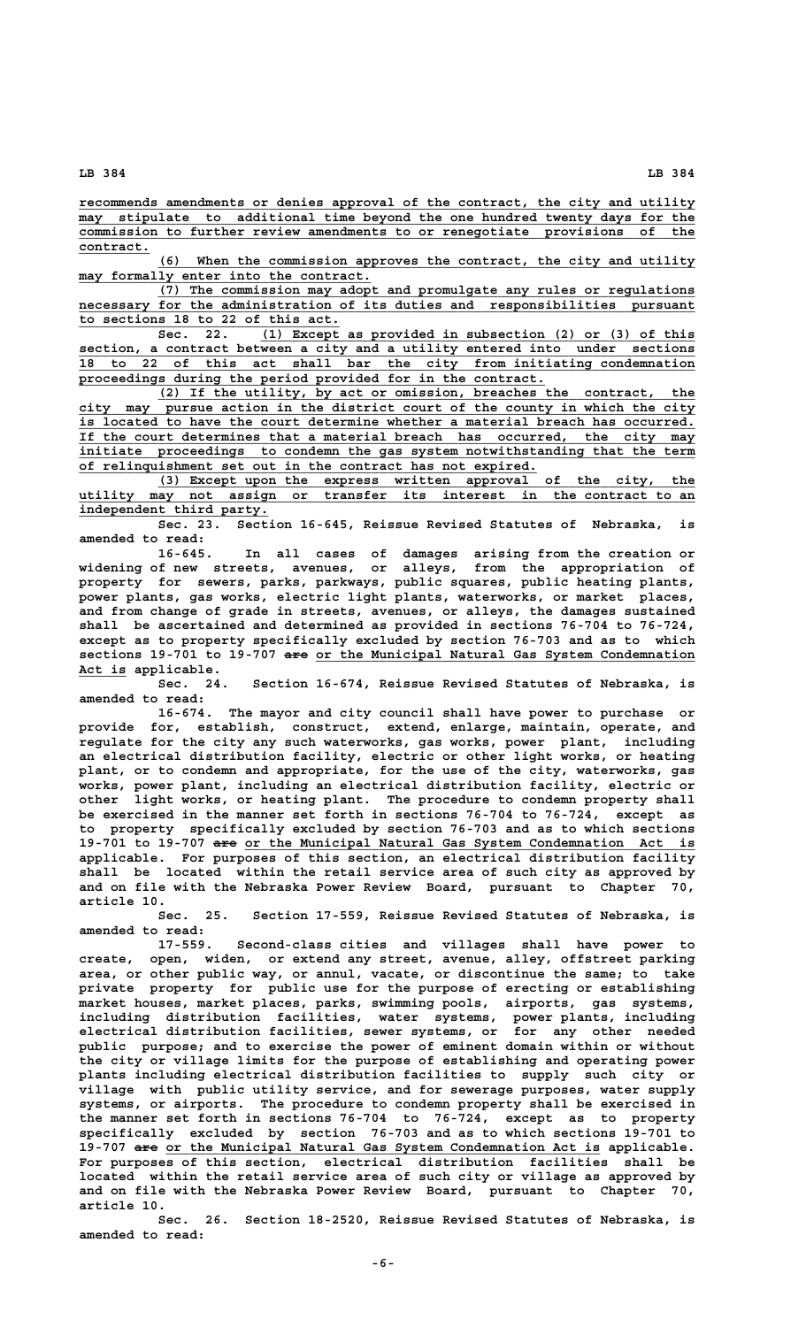**\_\_\_\_\_\_\_\_\_\_\_\_\_\_\_\_\_\_\_\_\_\_\_\_\_\_\_\_\_\_\_\_\_\_\_\_\_\_\_\_\_\_\_\_\_\_\_\_\_\_\_\_\_\_\_\_\_\_\_\_\_\_\_\_\_\_\_\_\_\_\_\_\_\_\_\_\_\_ recommends amendments or denies approval of the contract, the city and utility**  $\overline{\text{may}}$  stipulate to additional time beyond the one hundred twenty days for the  **\_\_\_\_\_\_\_\_\_\_\_\_\_\_\_\_\_\_\_\_\_\_\_\_\_\_\_\_\_\_\_\_\_\_\_\_\_\_\_\_\_\_\_\_\_\_\_\_\_\_\_\_\_\_\_\_\_\_\_\_\_\_\_\_\_\_\_\_\_\_\_\_\_\_\_\_\_\_ commission to further review amendments to or renegotiate provisions of the contract. \_\_\_\_\_\_\_\_\_**

 **\_\_\_\_\_\_\_\_\_\_\_\_\_\_\_\_\_\_\_\_\_\_\_\_\_\_\_\_\_\_\_\_\_\_\_\_\_\_\_\_\_\_\_\_\_\_\_\_\_\_\_\_\_\_\_\_\_\_\_\_\_\_\_\_\_\_\_\_ (6) When the commission approves the contract, the city and utility**  $\texttt{may formally enter into the contract.}$ 

 **\_\_\_\_\_\_\_\_\_\_\_\_\_\_\_\_\_\_\_\_\_\_\_\_\_\_\_\_\_\_\_\_\_\_\_\_\_\_\_\_\_\_\_\_\_\_\_\_\_\_\_\_\_\_\_\_\_\_\_\_\_\_\_\_\_\_\_\_ (7) The commission may adopt and promulgate any rules or regulations \_\_\_\_\_\_\_\_\_\_\_\_\_\_\_\_\_\_\_\_\_\_\_\_\_\_\_\_\_\_\_\_\_\_\_\_\_\_\_\_\_\_\_\_\_\_\_\_\_\_\_\_\_\_\_\_\_\_\_\_\_\_\_\_\_\_\_\_\_\_\_\_\_\_\_\_\_\_ necessary for the administration of its duties and responsibilities pursuant \_\_\_\_\_\_\_\_\_\_\_\_\_\_\_\_\_\_\_\_\_\_\_\_\_\_\_\_\_\_\_\_\_ to sections 18 to 22 of this act.**

**Sec. 22.** (1) Except as provided in subsection (2) or (3) of this section, a contract between a city and a utility entered into under sections  **\_\_\_\_\_\_\_\_\_\_\_\_\_\_\_\_\_\_\_\_\_\_\_\_\_\_\_\_\_\_\_\_\_\_\_\_\_\_\_\_\_\_\_\_\_\_\_\_\_\_\_\_\_\_\_\_\_\_\_\_\_\_\_\_\_\_\_\_\_\_\_\_\_\_\_\_\_\_ section, a contract between a city and a utility entered into under sections \_\_\_\_\_\_\_\_\_\_\_\_\_\_\_\_\_\_\_\_\_\_\_\_\_\_\_\_\_\_\_\_\_\_\_\_\_\_\_\_\_\_\_\_\_\_\_\_\_\_\_\_\_\_\_\_\_\_\_\_\_\_\_\_\_\_\_\_\_\_\_\_\_\_\_\_\_\_ 18 to 22 of this act shall bar the city from initiating condemnation \_\_\_\_\_\_\_\_\_\_\_\_\_\_\_\_\_\_\_\_\_\_\_\_\_\_\_\_\_\_\_\_\_\_\_\_\_\_\_\_\_\_\_\_\_\_\_\_\_\_\_\_\_\_\_\_\_\_\_ proceedings during the period provided for in the contract.**

 **\_\_\_\_\_\_\_\_\_\_\_\_\_\_\_\_\_\_\_\_\_\_\_\_\_\_\_\_\_\_\_\_\_\_\_\_\_\_\_\_\_\_\_\_\_\_\_\_\_\_\_\_\_\_\_\_\_\_\_\_\_\_\_\_\_\_\_\_ (2) If the utility, by act or omission, breaches the contract, the \_\_\_\_\_\_\_\_\_\_\_\_\_\_\_\_\_\_\_\_\_\_\_\_\_\_\_\_\_\_\_\_\_\_\_\_\_\_\_\_\_\_\_\_\_\_\_\_\_\_\_\_\_\_\_\_\_\_\_\_\_\_\_\_\_\_\_\_\_\_\_\_\_\_\_\_\_\_ city may pursue action in the district court of the county in which the city \_\_\_\_\_\_\_\_\_\_\_\_\_\_\_\_\_\_\_\_\_\_\_\_\_\_\_\_\_\_\_\_\_\_\_\_\_\_\_\_\_\_\_\_\_\_\_\_\_\_\_\_\_\_\_\_\_\_\_\_\_\_\_\_\_\_\_\_\_\_\_\_\_\_\_\_\_\_ is located to have the court determine whether a material breach has occurred. \_\_\_\_\_\_\_\_\_\_\_\_\_\_\_\_\_\_\_\_\_\_\_\_\_\_\_\_\_\_\_\_\_\_\_\_\_\_\_\_\_\_\_\_\_\_\_\_\_\_\_\_\_\_\_\_\_\_\_\_\_\_\_\_\_\_\_\_\_\_\_\_\_\_\_\_\_\_ If the court determines that a material breach has occurred, the city may \_\_\_\_\_\_\_\_\_\_\_\_\_\_\_\_\_\_\_\_\_\_\_\_\_\_\_\_\_\_\_\_\_\_\_\_\_\_\_\_\_\_\_\_\_\_\_\_\_\_\_\_\_\_\_\_\_\_\_\_\_\_\_\_\_\_\_\_\_\_\_\_\_\_\_\_\_\_ initiate proceedings to condemn the gas system notwithstanding that the term** of relinquishment set out in the contract has not expired.

 **\_\_\_\_\_\_\_\_\_\_\_\_\_\_\_\_\_\_\_\_\_\_\_\_\_\_\_\_\_\_\_\_\_\_\_\_\_\_\_\_\_\_\_\_\_\_\_\_\_\_\_\_\_\_\_\_\_\_\_\_\_\_\_\_\_\_\_\_ (3) Except upon the express written approval of the city, the \_\_\_\_\_\_\_\_\_\_\_\_\_\_\_\_\_\_\_\_\_\_\_\_\_\_\_\_\_\_\_\_\_\_\_\_\_\_\_\_\_\_\_\_\_\_\_\_\_\_\_\_\_\_\_\_\_\_\_\_\_\_\_\_\_\_\_\_\_\_\_\_\_\_\_\_\_\_ utility may not assign or transfer its interest in the contract to an \_\_\_\_\_\_\_\_\_\_\_\_\_\_\_\_\_\_\_\_\_\_\_\_ independent third party.**

**Sec. 23. Section 16-645, Reissue Revised Statutes of Nebraska, is amended to read:**

**16-645. In all cases of damages arising from the creation or widening of new streets, avenues, or alleys, from the appropriation of property for sewers, parks, parkways, public squares, public heating plants, power plants, gas works, electric light plants, waterworks, or market places, and from change of grade in streets, avenues, or alleys, the damages sustained shall be ascertained and determined as provided in sections 76-704 to 76-724, except as to property specifically excluded by section 76-703 and as to which ——— \_\_\_\_\_\_\_\_\_\_\_\_\_\_\_\_\_\_\_\_\_\_\_\_\_\_\_\_\_\_\_\_\_\_\_\_\_\_\_\_\_\_\_\_\_\_\_\_ sections 19-701 to 19-707 are or the Municipal Natural Gas System Condemnation \_\_\_\_\_\_ Act is applicable.**

**Sec. 24. Section 16-674, Reissue Revised Statutes of Nebraska, is amended to read:**

**16-674. The mayor and city council shall have power to purchase or provide for, establish, construct, extend, enlarge, maintain, operate, and regulate for the city any such waterworks, gas works, power plant, including an electrical distribution facility, electric or other light works, or heating plant, or to condemn and appropriate, for the use of the city, waterworks, gas works, power plant, including an electrical distribution facility, electric or other light works, or heating plant. The procedure to condemn property shall be exercised in the manner set forth in sections 76-704 to 76-724, except as to property specifically excluded by section 76-703 and as to which sections ——— \_\_\_\_\_\_\_\_\_\_\_\_\_\_\_\_\_\_\_\_\_\_\_\_\_\_\_\_\_\_\_\_\_\_\_\_\_\_\_\_\_\_\_\_\_\_\_\_\_\_\_\_\_\_\_\_\_ 19-701 to 19-707 are or the Municipal Natural Gas System Condemnation Act is applicable. For purposes of this section, an electrical distribution facility shall be located within the retail service area of such city as approved by and on file with the Nebraska Power Review Board, pursuant to Chapter 70, article 10.**

**Sec. 25. Section 17-559, Reissue Revised Statutes of Nebraska, is amended to read:**

**17-559. Second-class cities and villages shall have power to create, open, widen, or extend any street, avenue, alley, offstreet parking area, or other public way, or annul, vacate, or discontinue the same; to take private property for public use for the purpose of erecting or establishing market houses, market places, parks, swimming pools, airports, gas systems, including distribution facilities, water systems, power plants, including electrical distribution facilities, sewer systems, or for any other needed public purpose; and to exercise the power of eminent domain within or without the city or village limits for the purpose of establishing and operating power plants including electrical distribution facilities to supply such city or village with public utility service, and for sewerage purposes, water supply systems, or airports. The procedure to condemn property shall be exercised in the manner set forth in sections 76-704 to 76-724, except as to property specifically excluded by section 76-703 and as to which sections 19-701 to ——— \_\_\_\_\_\_\_\_\_\_\_\_\_\_\_\_\_\_\_\_\_\_\_\_\_\_\_\_\_\_\_\_\_\_\_\_\_\_\_\_\_\_\_\_\_\_\_\_\_\_\_\_\_\_\_ 19-707 are or the Municipal Natural Gas System Condemnation Act is applicable. For purposes of this section, electrical distribution facilities shall be located within the retail service area of such city or village as approved by and on file with the Nebraska Power Review Board, pursuant to Chapter 70, article 10.**

> **Sec. 26. Section 18-2520, Reissue Revised Statutes of Nebraska, is amended to read:**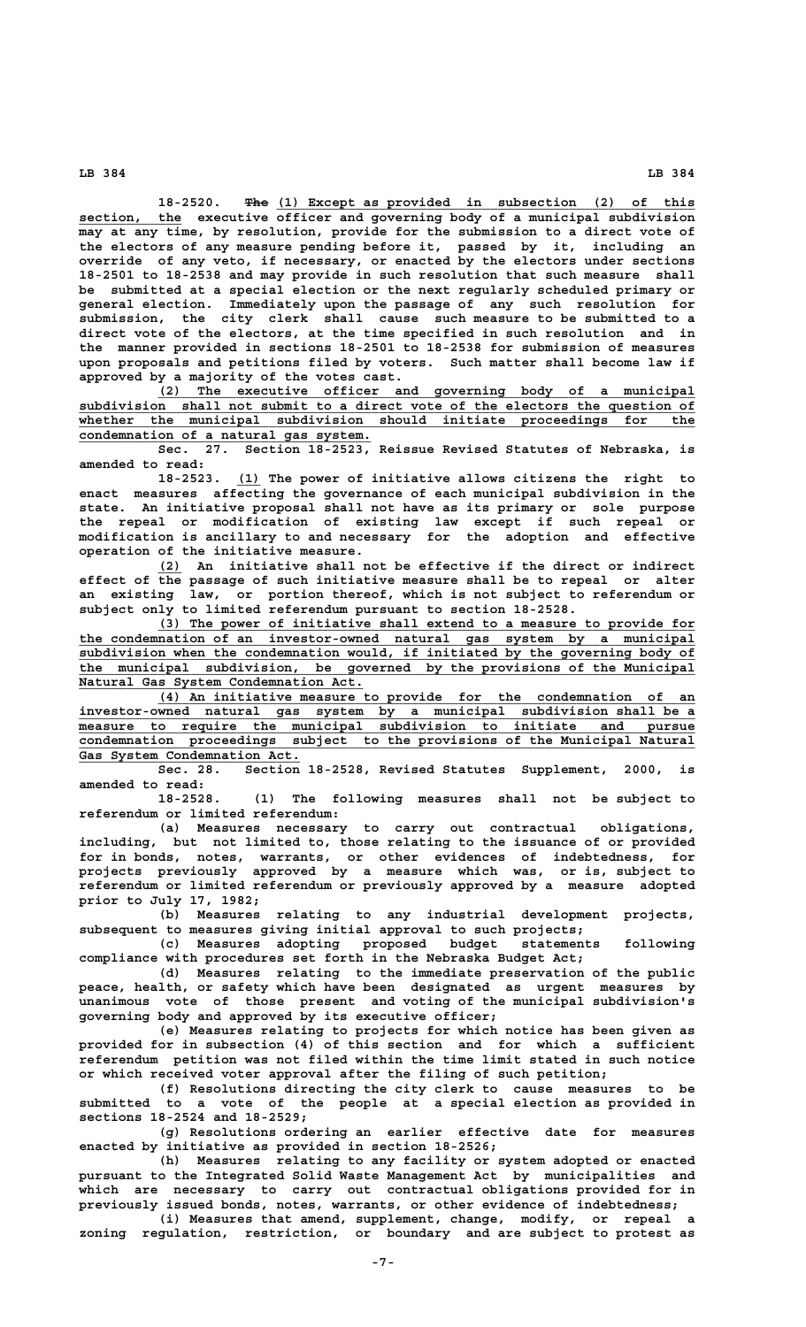18-2520. **The** (1) Except as provided in subsection (2) of this section, the executive officer and governing body of a municipal subdivision **may at any time, by resolution, provide for the submission to a direct vote of the electors of any measure pending before it, passed by it, including an override of any veto, if necessary, or enacted by the electors under sections 18-2501 to 18-2538 and may provide in such resolution that such measure shall be submitted at a special election or the next regularly scheduled primary or general election. Immediately upon the passage of any such resolution for submission, the city clerk shall cause such measure to be submitted to a direct vote of the electors, at the time specified in such resolution and in the manner provided in sections 18-2501 to 18-2538 for submission of measures upon proposals and petitions filed by voters. Such matter shall become law if approved by a majority of the votes cast.**

 **\_\_\_\_\_\_\_\_\_\_\_\_\_\_\_\_\_\_\_\_\_\_\_\_\_\_\_\_\_\_\_\_\_\_\_\_\_\_\_\_\_\_\_\_\_\_\_\_\_\_\_\_\_\_\_\_\_\_\_\_\_\_\_\_\_\_\_\_ (2) The executive officer and governing body of a municipal** subdivision shall not submit to a direct vote of the electors the question of  **\_\_\_\_\_\_\_\_\_\_\_\_\_\_\_\_\_\_\_\_\_\_\_\_\_\_\_\_\_\_\_\_\_\_\_\_\_\_\_\_\_\_\_\_\_\_\_\_\_\_\_\_\_\_\_\_\_\_\_\_\_\_\_\_\_\_\_\_\_\_\_\_\_\_\_\_\_\_ whether the municipal subdivision should initiate proceedings for the \_\_\_\_\_\_\_\_\_\_\_\_\_\_\_\_\_\_\_\_\_\_\_\_\_\_\_\_\_\_\_\_\_\_\_\_\_ condemnation of a natural gas system.**

> **Sec. 27. Section 18-2523, Reissue Revised Statutes of Nebraska, is amended to read:**

> **\_\_\_ 18-2523. (1) The power of initiative allows citizens the right to enact measures affecting the governance of each municipal subdivision in the state. An initiative proposal shall not have as its primary or sole purpose the repeal or modification of existing law except if such repeal or modification is ancillary to and necessary for the adoption and effective operation of the initiative measure.**

> **\_\_\_ (2) An initiative shall not be effective if the direct or indirect effect of the passage of such initiative measure shall be to repeal or alter an existing law, or portion thereof, which is not subject to referendum or subject only to limited referendum pursuant to section 18-2528.**

 **\_\_\_\_\_\_\_\_\_\_\_\_\_\_\_\_\_\_\_\_\_\_\_\_\_\_\_\_\_\_\_\_\_\_\_\_\_\_\_\_\_\_\_\_\_\_\_\_\_\_\_\_\_\_\_\_\_\_\_\_\_\_\_\_\_\_\_\_ (3) The power of initiative shall extend to a measure to provide for \_\_\_\_\_\_\_\_\_\_\_\_\_\_\_\_\_\_\_\_\_\_\_\_\_\_\_\_\_\_\_\_\_\_\_\_\_\_\_\_\_\_\_\_\_\_\_\_\_\_\_\_\_\_\_\_\_\_\_\_\_\_\_\_\_\_\_\_\_\_\_\_\_\_\_\_\_\_ the condemnation of an investor-owned natural gas system by a municipal \_\_\_\_\_\_\_\_\_\_\_\_\_\_\_\_\_\_\_\_\_\_\_\_\_\_\_\_\_\_\_\_\_\_\_\_\_\_\_\_\_\_\_\_\_\_\_\_\_\_\_\_\_\_\_\_\_\_\_\_\_\_\_\_\_\_\_\_\_\_\_\_\_\_\_\_\_\_ subdivision when the condemnation would, if initiated by the governing body of \_\_\_\_\_\_\_\_\_\_\_\_\_\_\_\_\_\_\_\_\_\_\_\_\_\_\_\_\_\_\_\_\_\_\_\_\_\_\_\_\_\_\_\_\_\_\_\_\_\_\_\_\_\_\_\_\_\_\_\_\_\_\_\_\_\_\_\_\_\_\_\_\_\_\_\_\_\_ the municipal subdivision, be governed by the provisions of the Municipal**  $Natural$  Gas System Condemnation Act.

 **\_\_\_\_\_\_\_\_\_\_\_\_\_\_\_\_\_\_\_\_\_\_\_\_\_\_\_\_\_\_\_\_\_\_\_\_\_\_\_\_\_\_\_\_\_\_\_\_\_\_\_\_\_\_\_\_\_\_\_\_\_\_\_\_\_\_\_\_ (4) An initiative measure to provide for the condemnation of an** investor-owned natural gas system by a municipal subdivision shall be a  **\_\_\_\_\_\_\_\_\_\_\_\_\_\_\_\_\_\_\_\_\_\_\_\_\_\_\_\_\_\_\_\_\_\_\_\_\_\_\_\_\_\_\_\_\_\_\_\_\_\_\_\_\_\_\_\_\_\_\_\_\_\_\_\_\_\_\_\_\_\_\_\_\_\_\_\_\_\_ measure to require the municipal subdivision to initiate and pursue \_\_\_\_\_\_\_\_\_\_\_\_\_\_\_\_\_\_\_\_\_\_\_\_\_\_\_\_\_\_\_\_\_\_\_\_\_\_\_\_\_\_\_\_\_\_\_\_\_\_\_\_\_\_\_\_\_\_\_\_\_\_\_\_\_\_\_\_\_\_\_\_\_\_\_\_\_\_ condemnation proceedings subject to the provisions of the Municipal Natural** condemnation proceedings subject to the provisions of the Municipal Natural Gas System Condemnation Act.

**Sec. 28. Section 18-2528, Revised Statutes Supplement, 2000, is amended to read:**

**18-2528. (1) The following measures shall not be subject to referendum or limited referendum:**

to carry out contractual obligations, **including, but not limited to, those relating to the issuance of or provided for in bonds, notes, warrants, or other evidences of indebtedness, for projects previously approved by a measure which was, or is, subject to referendum or limited referendum or previously approved by a measure adopted prior to July 17, 1982;**

**(b) Measures relating to any industrial development projects, subsequent to measures giving initial approval to such projects;**

**(c) Measures adopting proposed budget statements following compliance with procedures set forth in the Nebraska Budget Act;**

**(d) Measures relating to the immediate preservation of the public peace, health, or safety which have been designated as urgent measures by unanimous vote of those present and voting of the municipal subdivision's governing body and approved by its executive officer;**

**(e) Measures relating to projects for which notice has been given as provided for in subsection (4) of this section and for which a sufficient referendum petition was not filed within the time limit stated in such notice or which received voter approval after the filing of such petition;**

**(f) Resolutions directing the city clerk to cause measures to be submitted to a vote of the people at a special election as provided in sections 18-2524 and 18-2529;**

**(g) Resolutions ordering an earlier effective date for measures enacted by initiative as provided in section 18-2526;**

**(h) Measures relating to any facility or system adopted or enacted pursuant to the Integrated Solid Waste Management Act by municipalities and which are necessary to carry out contractual obligations provided for in previously issued bonds, notes, warrants, or other evidence of indebtedness;**

**(i) Measures that amend, supplement, change, modify, or repeal a zoning regulation, restriction, or boundary and are subject to protest as**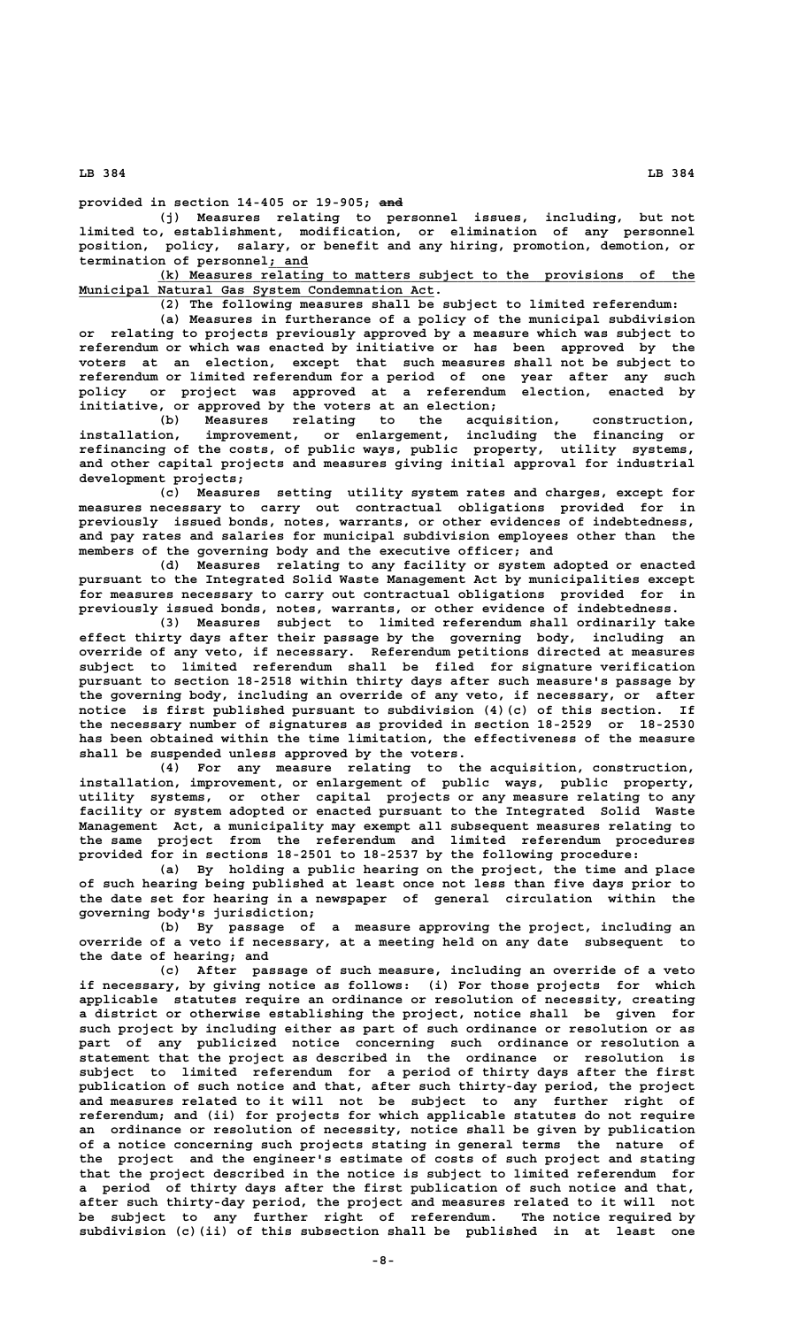**——— provided in section 14-405 or 19-905; and**

**(j) Measures relating to personnel issues, including, but not limited to, establishment, modification, or elimination of any personnel position, policy, salary, or benefit and any hiring, promotion, demotion, or \_\_\_\_\_ termination of personnel; and**

 **\_\_\_\_\_\_\_\_\_\_\_\_\_\_\_\_\_\_\_\_\_\_\_\_\_\_\_\_\_\_\_\_\_\_\_\_\_\_\_\_\_\_\_\_\_\_\_\_\_\_\_\_\_\_\_\_\_\_\_\_\_\_\_\_\_\_\_\_ (k) Measures relating to matters subject to the provisions of the \_\_\_\_\_\_\_\_\_\_\_\_\_\_\_\_\_\_\_\_\_\_\_\_\_\_\_\_\_\_\_\_\_\_\_\_\_\_\_\_\_\_\_\_\_ Municipal Natural Gas System Condemnation Act.**

**(2) The following measures shall be subject to limited referendum:**

**(a) Measures in furtherance of a policy of the municipal subdivision or relating to projects previously approved by a measure which was subject to referendum or which was enacted by initiative or has been approved by the voters at an election, except that such measures shall not be subject to referendum or limited referendum for a period of one year after any such policy or project was approved at a referendum election, enacted by initiative, or approved by the voters at an election;**

**(b) Measures relating to the acquisition, construction, installation, improvement, or enlargement, including the financing or refinancing of the costs, of public ways, public property, utility systems, and other capital projects and measures giving initial approval for industrial development projects;**

**(c) Measures setting utility system rates and charges, except for measures necessary to carry out contractual obligations provided for in previously issued bonds, notes, warrants, or other evidences of indebtedness, and pay rates and salaries for municipal subdivision employees other than the members of the governing body and the executive officer; and**

**(d) Measures relating to any facility or system adopted or enacted pursuant to the Integrated Solid Waste Management Act by municipalities except for measures necessary to carry out contractual obligations provided for in previously issued bonds, notes, warrants, or other evidence of indebtedness.**

**(3) Measures subject to limited referendum shall ordinarily take effect thirty days after their passage by the governing body, including an override of any veto, if necessary. Referendum petitions directed at measures subject to limited referendum shall be filed for signature verification pursuant to section 18-2518 within thirty days after such measure's passage by the governing body, including an override of any veto, if necessary, or after notice is first published pursuant to subdivision (4)(c) of this section. If the necessary number of signatures as provided in section 18-2529 or 18-2530 has been obtained within the time limitation, the effectiveness of the measure shall be suspended unless approved by the voters.**

**(4) For any measure relating to the acquisition, construction, installation, improvement, or enlargement of public ways, public property, utility systems, or other capital projects or any measure relating to any facility or system adopted or enacted pursuant to the Integrated Solid Waste Management Act, a municipality may exempt all subsequent measures relating to the same project from the referendum and limited referendum procedures provided for in sections 18-2501 to 18-2537 by the following procedure:**

**(a) By holding a public hearing on the project, the time and place of such hearing being published at least once not less than five days prior to the date set for hearing in a newspaper of general circulation within the governing body's jurisdiction;**

**(b) By passage of a measure approving the project, including an override of a veto if necessary, at a meeting held on any date subsequent to the date of hearing; and**

**(c) After passage of such measure, including an override of a veto if necessary, by giving notice as follows: (i) For those projects for which applicable statutes require an ordinance or resolution of necessity, creating a district or otherwise establishing the project, notice shall be given for such project by including either as part of such ordinance or resolution or as part of any publicized notice concerning such ordinance or resolution a statement that the project as described in the ordinance or resolution is subject to limited referendum for a period of thirty days after the first publication of such notice and that, after such thirty-day period, the project and measures related to it will not be subject to any further right of referendum; and (ii) for projects for which applicable statutes do not require an ordinance or resolution of necessity, notice shall be given by publication of a notice concerning such projects stating in general terms the nature of the project and the engineer's estimate of costs of such project and stating that the project described in the notice is subject to limited referendum for a period of thirty days after the first publication of such notice and that, after such thirty-day period, the project and measures related to it will not be subject to any further right of referendum. The notice required by subdivision (c)(ii) of this subsection shall be published in at least one**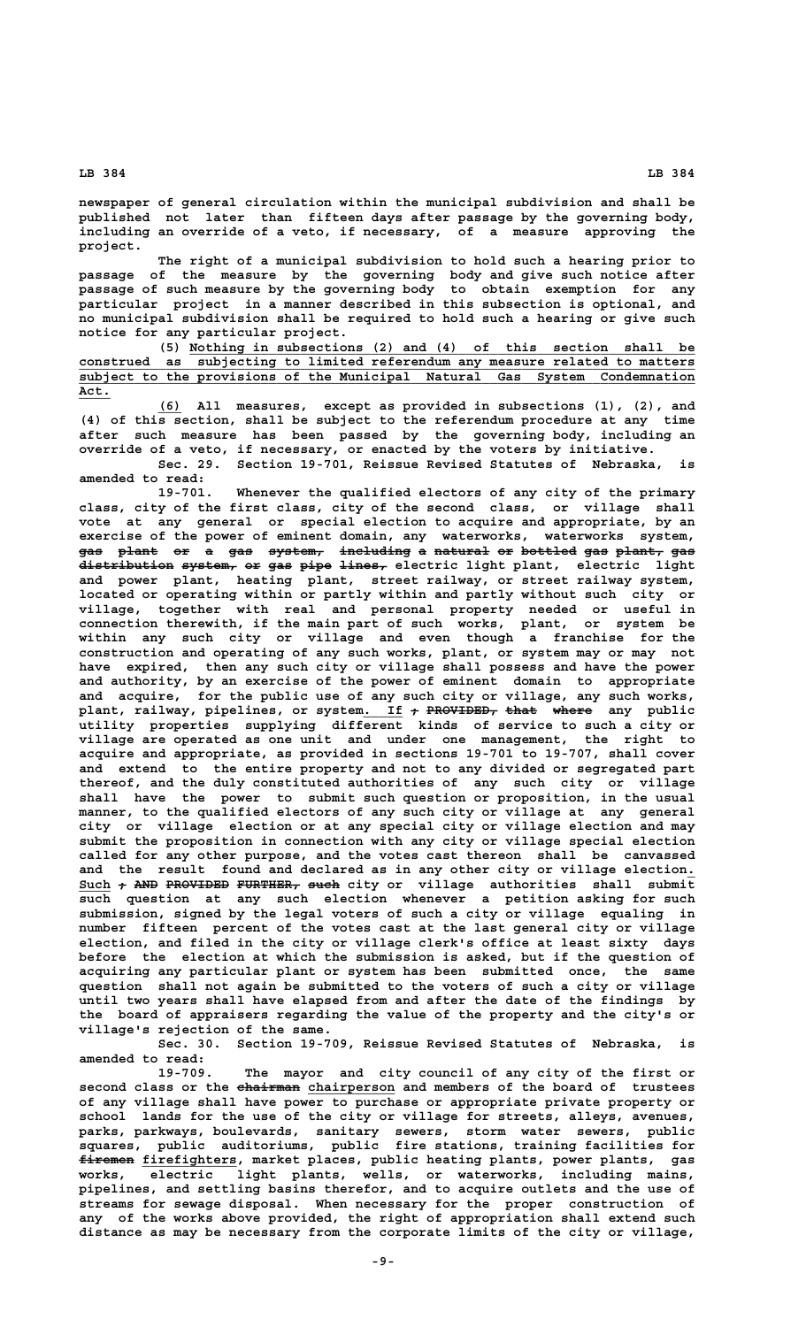**newspaper of general circulation within the municipal subdivision and shall be published not later than fifteen days after passage by the governing body, including an override of a veto, if necessary, of a measure approving the project.**

**The right of a municipal subdivision to hold such a hearing prior to passage of the measure by the governing body and give such notice after passage of such measure by the governing body to obtain exemption for any particular project in a manner described in this subsection is optional, and no municipal subdivision shall be required to hold such a hearing or give such notice for any particular project.**

 **\_\_\_\_\_\_\_\_\_\_\_\_\_\_\_\_\_\_\_\_\_\_\_\_\_\_\_\_\_\_\_\_\_\_\_\_\_\_\_\_\_\_\_\_\_\_\_\_\_\_\_\_\_\_\_\_\_\_\_\_\_\_\_\_ (5) Nothing in subsections (2) and (4) of this section shall be \_\_\_\_\_\_\_\_\_\_\_\_\_\_\_\_\_\_\_\_\_\_\_\_\_\_\_\_\_\_\_\_\_\_\_\_\_\_\_\_\_\_\_\_\_\_\_\_\_\_\_\_\_\_\_\_\_\_\_\_\_\_\_\_\_\_\_\_\_\_\_\_\_\_\_\_\_\_ construed as subjecting to limited referendum any measure related to matters \_\_\_\_\_\_\_\_\_\_\_\_\_\_\_\_\_\_\_\_\_\_\_\_\_\_\_\_\_\_\_\_\_\_\_\_\_\_\_\_\_\_\_\_\_\_\_\_\_\_\_\_\_\_\_\_\_\_\_\_\_\_\_\_\_\_\_\_\_\_\_\_\_\_\_\_\_\_ subject to the provisions of the Municipal Natural Gas System Condemnation Act.\_\_\_\_**

> **\_\_\_ (6) All measures, except as provided in subsections (1), (2), and (4) of this section, shall be subject to the referendum procedure at any time after such measure has been passed by the governing body, including an override of a veto, if necessary, or enacted by the voters by initiative.**

> **Sec. 29. Section 19-701, Reissue Revised Statutes of Nebraska, is amended to read:**

> **19-701. Whenever the qualified electors of any city of the primary class, city of the first class, city of the second class, or village shall vote at any general or special election to acquire and appropriate, by an exercise of the power of eminent domain, any waterworks, waterworks system,** gas plant or a gas system, including a natural or bottled gas plant, gas distribution system, or gas pipe lines, electric light plant, electric light **and power plant, heating plant, street railway, or street railway system, located or operating within or partly within and partly without such city or village, together with real and personal property needed or useful in connection therewith, if the main part of such works, plant, or system be within any such city or village and even though a franchise for the construction and operating of any such works, plant, or system may or may not have expired, then any such city or village shall possess and have the power and authority, by an exercise of the power of eminent domain to appropriate and acquire, for the public use of any such city or village, any such works,** plant, railway, pipelines, or system<u>. If</u> + PROVIDED, that where any public **utility properties supplying different kinds of service to such a city or village are operated as one unit and under one management, the right to acquire and appropriate, as provided in sections 19-701 to 19-707, shall cover and extend to the entire property and not to any divided or segregated part thereof, and the duly constituted authorities of any such city or village shall have the power to submit such question or proposition, in the usual manner, to the qualified electors of any such city or village at any general city or village election or at any special city or village election and may submit the proposition in connection with any city or village special election called for any other purpose, and the votes cast thereon shall be canvassed and the result found and declared as in any other city or village election.\_** Such + AND PROVIDED FURTHER, such city or village authorities shall submit **such question at any such election whenever a petition asking for such submission, signed by the legal voters of such a city or village equaling in number fifteen percent of the votes cast at the last general city or village election, and filed in the city or village clerk's office at least sixty days before the election at which the submission is asked, but if the question of acquiring any particular plant or system has been submitted once, the same question shall not again be submitted to the voters of such a city or village until two years shall have elapsed from and after the date of the findings by the board of appraisers regarding the value of the property and the city's or village's rejection of the same.**

> **Sec. 30. Section 19-709, Reissue Revised Statutes of Nebraska, is amended to read:**

> **19-709. The mayor and city council of any city of the first or** second class or the ehairman chairperson and members of the board of trustees **of any village shall have power to purchase or appropriate private property or school lands for the use of the city or village for streets, alleys, avenues, parks, parkways, boulevards, sanitary sewers, storm water sewers, public squares, public auditoriums, public fire stations, training facilities for**  $f$ **iremen** firefighters, market places, public heating plants, power plants, gas **works, electric light plants, wells, or waterworks, including mains, pipelines, and settling basins therefor, and to acquire outlets and the use of streams for sewage disposal. When necessary for the proper construction of any of the works above provided, the right of appropriation shall extend such distance as may be necessary from the corporate limits of the city or village,**